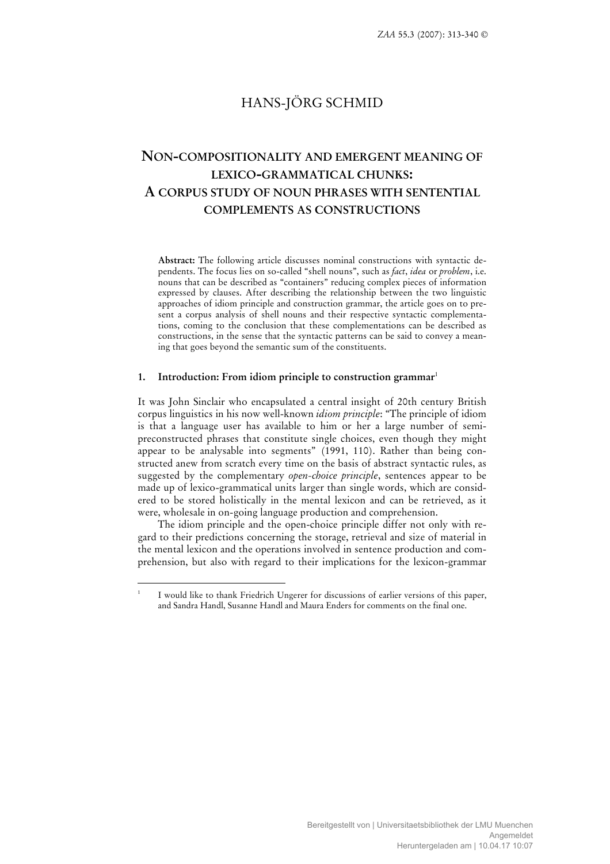# HANS-JÖRG SCHMID

# NON-COMPOSITIONALITY AND EMERGENT MEANING OF LEXICO-GRAMMATICAL CHUNKS: A CORPUS STUDY OF NOUN PHRASES WITH SENTENTIAL COMPLEMENTS AS CONSTRUCTIONS

Abstract: The following article discusses nominal constructions with syntactic dependents. The focus lies on so-called "shell nouns", such as fact, idea or problem, i.e. nouns that can be described as "containers" reducing complex pieces of information expressed by clauses. After describing the relationship between the two linguistic approaches of idiom principle and construction grammar, the article goes on to present a corpus analysis of shell nouns and their respective syntactic complementations, coming to the conclusion that these complementations can be described as constructions, in the sense that the syntactic patterns can be said to convey a meaning that goes beyond the semantic sum of the constituents.

### 1. Introduction: From idiom principle to construction grammar<sup>1</sup>

It was John Sinclair who encapsulated a central insight of 20th century British corpus linguistics in his now well-known *idiom principle*: "The principle of idiom is that a language user has available to him or her a large number of semipreconstructed phrases that constitute single choices, even though they might appear to be analysable into segments" (1991, 110). Rather than being constructed anew from scratch every time on the basis of abstract syntactic rules, as suggested by the complementary *open-choice principle*, sentences appear to be made up of lexico-grammatical units larger than single words, which are considered to be stored holistically in the mental lexicon and can be retrieved, as it were, wholesale in on-going language production and comprehension.

The idiom principle and the open-choice principle differ not only with regard to their predictions concerning the storage, retrieval and size of material in the mental lexicon and the operations involved in sentence production and comprehension, but also with regard to their implications for the lexicon-grammar

 $\overline{a}$ 

<sup>1</sup> I would like to thank Friedrich Ungerer for discussions of earlier versions of this paper, and Sandra Handl, Susanne Handl and Maura Enders for comments on the final one.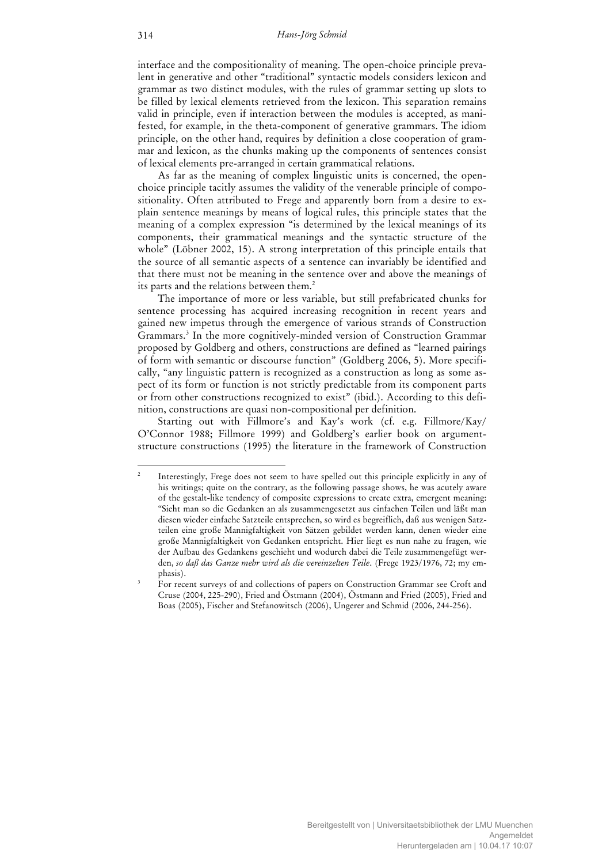interface and the compositionality of meaning. The open-choice principle prevalent in generative and other "traditional" syntactic models considers lexicon and grammar as two distinct modules, with the rules of grammar setting up slots to be filled by lexical elements retrieved from the lexicon. This separation remains valid in principle, even if interaction between the modules is accepted, as manifested, for example, in the theta-component of generative grammars. The idiom principle, on the other hand, requires by definition a close cooperation of grammar and lexicon, as the chunks making up the components of sentences consist of lexical elements pre-arranged in certain grammatical relations.

As far as the meaning of complex linguistic units is concerned, the openchoice principle tacitly assumes the validity of the venerable principle of compositionality. Often attributed to Frege and apparently born from a desire to explain sentence meanings by means of logical rules, this principle states that the meaning of a complex expression "is determined by the lexical meanings of its components, their grammatical meanings and the syntactic structure of the whole" (Löbner 2002, 15). A strong interpretation of this principle entails that the source of all semantic aspects of a sentence can invariably be identified and that there must not be meaning in the sentence over and above the meanings of its parts and the relations between them. $2$ 

The importance of more or less variable, but still prefabricated chunks for sentence processing has acquired increasing recognition in recent years and gained new impetus through the emergence of various strands of Construction Grammars.<sup>3</sup> In the more cognitively-minded version of Construction Grammar proposed by Goldberg and others, constructions are defined as "learned pairings of form with semantic or discourse function" (Goldberg 2006, 5). More specifically, "any linguistic pattern is recognized as a construction as long as some aspect of its form or function is not strictly predictable from its component parts or from other constructions recognized to exist" (ibid.). According to this definition, constructions are quasi non-compositional per definition.

Starting out with Fillmore's and Kay's work (cf. e.g. Fillmore/Kay/ O'Connor 1988; Fillmore 1999) and Goldberg's earlier book on argumentstructure constructions (1995) the literature in the framework of Construction

 $\overline{a}$ 

<sup>2</sup> Interestingly, Frege does not seem to have spelled out this principle explicitly in any of his writings; quite on the contrary, as the following passage shows, he was acutely aware of the gestalt-like tendency of composite expressions to create extra, emergent meaning: "Sieht man so die Gedanken an als zusammengesetzt aus einfachen Teilen und läßt man diesen wieder einfache Satzteile entsprechen, so wird es begreiflich, daß aus wenigen Satzteilen eine große Mannigfaltigkeit von Sätzen gebildet werden kann, denen wieder eine große Mannigfaltigkeit von Gedanken entspricht. Hier liegt es nun nahe zu fragen, wie der Aufbau des Gedankens geschieht und wodurch dabei die Teile zusammengefügt werden, so daß das Ganze mehr wird als die vereinzelten Teile. (Frege 1923/1976, 72; my emphasis).

<sup>3</sup> For recent surveys of and collections of papers on Construction Grammar see Croft and Cruse (2004, 225-290), Fried and Östmann (2004), Östmann and Fried (2005), Fried and Boas (2005), Fischer and Stefanowitsch (2006), Ungerer and Schmid (2006, 244-256).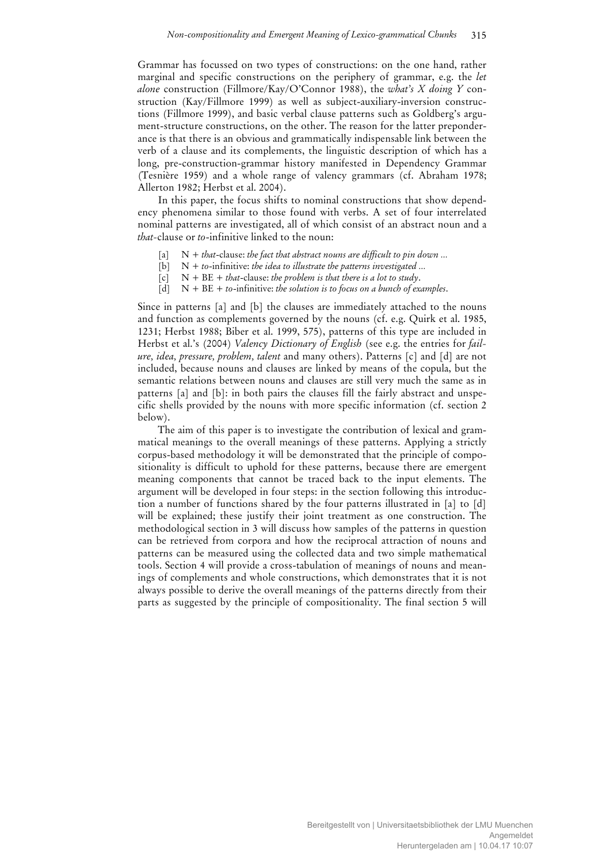Grammar has focussed on two types of constructions: on the one hand, rather marginal and specific constructions on the periphery of grammar, e.g. the let alone construction (Fillmore/Kay/O'Connor 1988), the what's X doing Y construction (Kay/Fillmore 1999) as well as subject-auxiliary-inversion constructions (Fillmore 1999), and basic verbal clause patterns such as Goldberg's argument-structure constructions, on the other. The reason for the latter preponderance is that there is an obvious and grammatically indispensable link between the verb of a clause and its complements, the linguistic description of which has a long, pre-construction-grammar history manifested in Dependency Grammar (Tesnière 1959) and a whole range of valency grammars (cf. Abraham 1978; Allerton 1982; Herbst et al. 2004).

In this paper, the focus shifts to nominal constructions that show dependency phenomena similar to those found with verbs. A set of four interrelated nominal patterns are investigated, all of which consist of an abstract noun and a that-clause or to-infinitive linked to the noun:

- [a]  $N + that$ -clause: the fact that abstract nouns are difficult to pin down ...
- $[b]$  N + to-infinitive: the idea to illustrate the patterns investigated ...
- $[c]$  N + BE + that-clause: the problem is that there is a lot to study.
- $[d]$  N + BE + to-infinitive: the solution is to focus on a bunch of examples.

Since in patterns [a] and [b] the clauses are immediately attached to the nouns and function as complements governed by the nouns (cf. e.g. Quirk et al. 1985, 1231; Herbst 1988; Biber et al. 1999, 575), patterns of this type are included in Herbst et al.'s (2004) Valency Dictionary of English (see e.g. the entries for failure, idea, pressure, problem, talent and many others). Patterns [c] and [d] are not included, because nouns and clauses are linked by means of the copula, but the semantic relations between nouns and clauses are still very much the same as in patterns [a] and [b]: in both pairs the clauses fill the fairly abstract and unspecific shells provided by the nouns with more specific information (cf. section 2 below).

The aim of this paper is to investigate the contribution of lexical and grammatical meanings to the overall meanings of these patterns. Applying a strictly corpus-based methodology it will be demonstrated that the principle of compositionality is difficult to uphold for these patterns, because there are emergent meaning components that cannot be traced back to the input elements. The argument will be developed in four steps: in the section following this introduction a number of functions shared by the four patterns illustrated in [a] to [d] will be explained; these justify their joint treatment as one construction. The methodological section in 3 will discuss how samples of the patterns in question can be retrieved from corpora and how the reciprocal attraction of nouns and patterns can be measured using the collected data and two simple mathematical tools. Section 4 will provide a cross-tabulation of meanings of nouns and meanings of complements and whole constructions, which demonstrates that it is not always possible to derive the overall meanings of the patterns directly from their parts as suggested by the principle of compositionality. The final section 5 will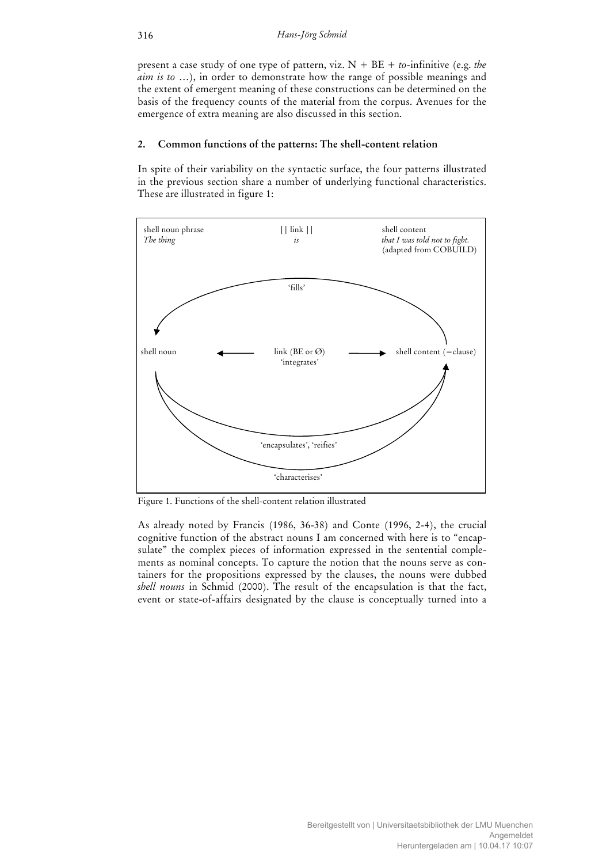present a case study of one type of pattern, viz.  $N + BE + to$ -infinitive (e.g. the aim is to …), in order to demonstrate how the range of possible meanings and the extent of emergent meaning of these constructions can be determined on the basis of the frequency counts of the material from the corpus. Avenues for the emergence of extra meaning are also discussed in this section.

## 2. Common functions of the patterns: The shell-content relation

In spite of their variability on the syntactic surface, the four patterns illustrated in the previous section share a number of underlying functional characteristics. These are illustrated in figure 1:



Figure 1. Functions of the shell-content relation illustrated

As already noted by Francis (1986, 36-38) and Conte (1996, 2-4), the crucial cognitive function of the abstract nouns I am concerned with here is to "encapsulate" the complex pieces of information expressed in the sentential complements as nominal concepts. To capture the notion that the nouns serve as containers for the propositions expressed by the clauses, the nouns were dubbed shell nouns in Schmid (2000). The result of the encapsulation is that the fact, event or state-of-affairs designated by the clause is conceptually turned into a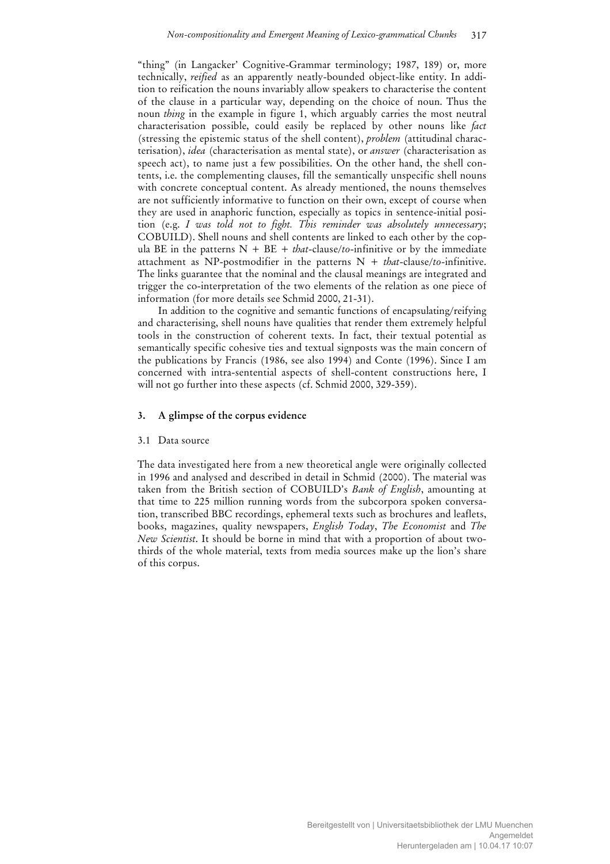"thing" (in Langacker' Cognitive-Grammar terminology; 1987, 189) or, more technically, reified as an apparently neatly-bounded object-like entity. In addition to reification the nouns invariably allow speakers to characterise the content of the clause in a particular way, depending on the choice of noun. Thus the noun thing in the example in figure 1, which arguably carries the most neutral characterisation possible, could easily be replaced by other nouns like fact (stressing the epistemic status of the shell content), problem (attitudinal characterisation), idea (characterisation as mental state), or answer (characterisation as speech act), to name just a few possibilities. On the other hand, the shell contents, i.e. the complementing clauses, fill the semantically unspecific shell nouns with concrete conceptual content. As already mentioned, the nouns themselves are not sufficiently informative to function on their own, except of course when they are used in anaphoric function, especially as topics in sentence-initial position (e.g. I was told not to fight. This reminder was absolutely unnecessary; COBUILD). Shell nouns and shell contents are linked to each other by the copula BE in the patterns  $N + BE + that$ -clause/to-infinitive or by the immediate attachment as NP-postmodifier in the patterns  $N + \text{t}hat\text{-clause/to-infinite}$ . The links guarantee that the nominal and the clausal meanings are integrated and trigger the co-interpretation of the two elements of the relation as one piece of information (for more details see Schmid 2000, 21-31).

In addition to the cognitive and semantic functions of encapsulating/reifying and characterising, shell nouns have qualities that render them extremely helpful tools in the construction of coherent texts. In fact, their textual potential as semantically specific cohesive ties and textual signposts was the main concern of the publications by Francis (1986, see also 1994) and Conte (1996). Since I am concerned with intra-sentential aspects of shell-content constructions here, I will not go further into these aspects (cf. Schmid 2000, 329-359).

### 3. A glimpse of the corpus evidence

#### 3.1 Data source

The data investigated here from a new theoretical angle were originally collected in 1996 and analysed and described in detail in Schmid (2000). The material was taken from the British section of COBUILD's Bank of English, amounting at that time to 225 million running words from the subcorpora spoken conversation, transcribed BBC recordings, ephemeral texts such as brochures and leaflets, books, magazines, quality newspapers, English Today, The Economist and The New Scientist. It should be borne in mind that with a proportion of about twothirds of the whole material, texts from media sources make up the lion's share of this corpus.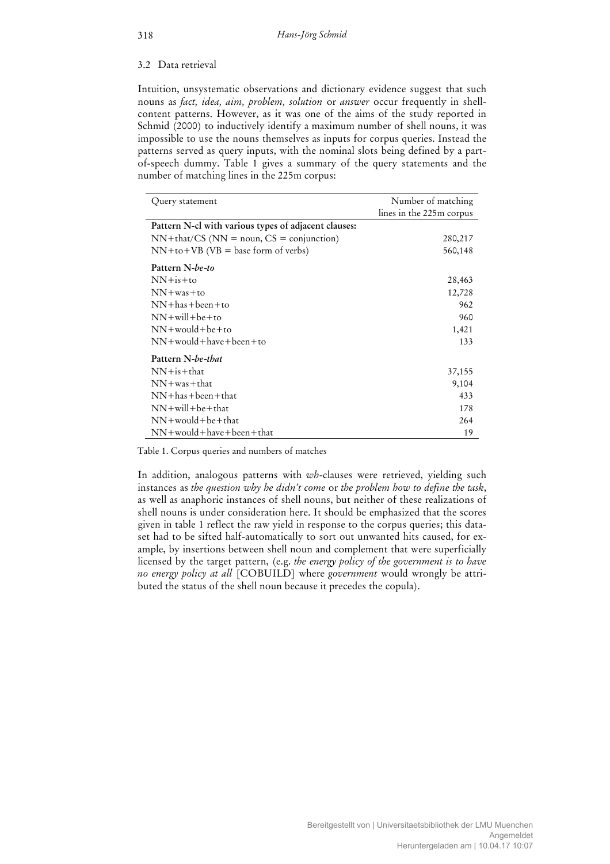## 3.2 Data retrieval

Intuition, unsystematic observations and dictionary evidence suggest that such nouns as fact, idea, aim, problem, solution or answer occur frequently in shellcontent patterns. However, as it was one of the aims of the study reported in Schmid (2000) to inductively identify a maximum number of shell nouns, it was impossible to use the nouns themselves as inputs for corpus queries. Instead the patterns served as query inputs, with the nominal slots being defined by a partof-speech dummy. Table 1 gives a summary of the query statements and the number of matching lines in the 225m corpus:

| Query statement                                       | Number of matching       |
|-------------------------------------------------------|--------------------------|
|                                                       | lines in the 225m corpus |
| Pattern N-cl with various types of adjacent clauses:  |                          |
| $NN + \text{that}/CS$ (NN = noun, $CS =$ conjunction) | 280,217                  |
| $NN + to + VB (VB = base form of verbs)$              | 560,148                  |
| Pattern N-be-to                                       |                          |
| $NN+$ is $+$ to                                       | 28,463                   |
| $NN + was + to$                                       | 12,728                   |
| $NN + has + been + to$                                | 962                      |
| $NN + will + be + to$                                 | 960                      |
| $NN + would + be + to$                                | 1,421                    |
| $NN + would + have + been + to$                       | 133                      |
| Pattern N-be-that                                     |                          |
| $NN+$ is $+$ that                                     | 37,155                   |
| $NN + was + that$                                     | 9,104                    |
| $NN + has + been + that$                              | 433                      |
| $NN + will + be + that$                               | 178                      |
| $NN + would + be + that$                              | 264                      |
| $NN + would + have + been + that$                     | 19                       |

Table 1. Corpus queries and numbers of matches

In addition, analogous patterns with wh-clauses were retrieved, yielding such instances as the question why he didn't come or the problem how to define the task, as well as anaphoric instances of shell nouns, but neither of these realizations of shell nouns is under consideration here. It should be emphasized that the scores given in table 1 reflect the raw yield in response to the corpus queries; this dataset had to be sifted half-automatically to sort out unwanted hits caused, for example, by insertions between shell noun and complement that were superficially licensed by the target pattern, (e.g. the energy policy of the government is to have no energy policy at all [COBUILD] where government would wrongly be attributed the status of the shell noun because it precedes the copula).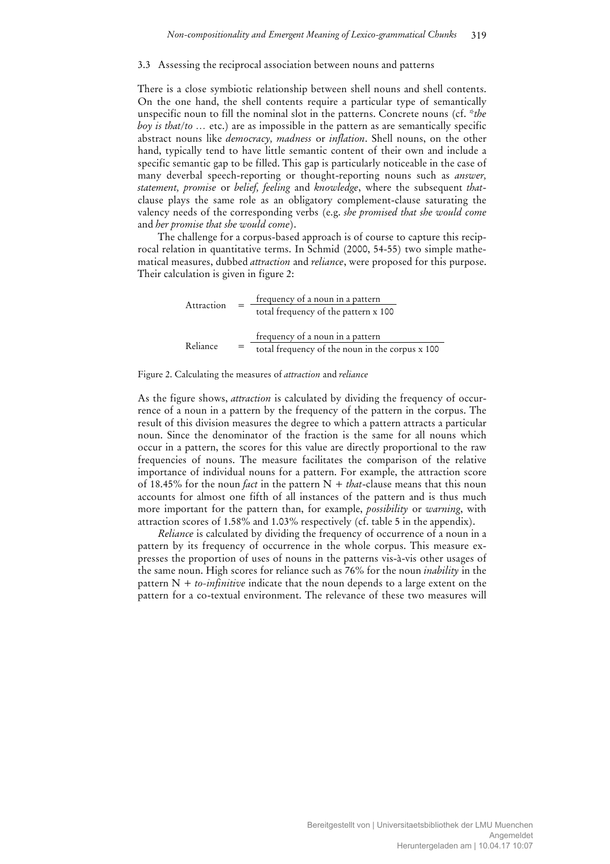## 3.3 Assessing the reciprocal association between nouns and patterns

There is a close symbiotic relationship between shell nouns and shell contents. On the one hand, the shell contents require a particular type of semantically unspecific noun to fill the nominal slot in the patterns. Concrete nouns (cf. \*the *boy is that/to*  $\ldots$  etc.) are as impossible in the pattern as are semantically specific abstract nouns like *democracy, madness* or *inflation*. Shell nouns, on the other hand, typically tend to have little semantic content of their own and include a specific semantic gap to be filled. This gap is particularly noticeable in the case of many deverbal speech-reporting or thought-reporting nouns such as *answer*, statement, promise or belief, feeling and knowledge, where the subsequent thatclause plays the same role as an obligatory complement-clause saturating the valency needs of the corresponding verbs (e.g. she promised that she would come and her promise that she would come).

The challenge for a corpus-based approach is of course to capture this reciprocal relation in quantitative terms. In Schmid (2000, 54-55) two simple mathematical measures, dubbed *attraction* and *reliance*, were proposed for this purpose. Their calculation is given in figure 2:

Attraction = 
$$
\frac{\text{frequency of a noun in a pattern}}{\text{total frequency of the pattern x 100}}
$$

\nReliance = 
$$
\frac{\text{frequency of a noun in a pattern}}{\text{total frequency of the noun in the corpus x 100}}
$$

#### Figure 2. Calculating the measures of attraction and reliance

As the figure shows, attraction is calculated by dividing the frequency of occurrence of a noun in a pattern by the frequency of the pattern in the corpus. The result of this division measures the degree to which a pattern attracts a particular noun. Since the denominator of the fraction is the same for all nouns which occur in a pattern, the scores for this value are directly proportional to the raw frequencies of nouns. The measure facilitates the comparison of the relative importance of individual nouns for a pattern. For example, the attraction score of 18.45% for the noun *fact* in the pattern  $N + that$ -clause means that this noun accounts for almost one fifth of all instances of the pattern and is thus much more important for the pattern than, for example, possibility or warning, with attraction scores of 1.58% and 1.03% respectively (cf. table 5 in the appendix).

Reliance is calculated by dividing the frequency of occurrence of a noun in a pattern by its frequency of occurrence in the whole corpus. This measure expresses the proportion of uses of nouns in the patterns vis-à-vis other usages of the same noun. High scores for reliance such as 76% for the noun *inability* in the pattern  $N + to-infinite$  indicate that the noun depends to a large extent on the pattern for a co-textual environment. The relevance of these two measures will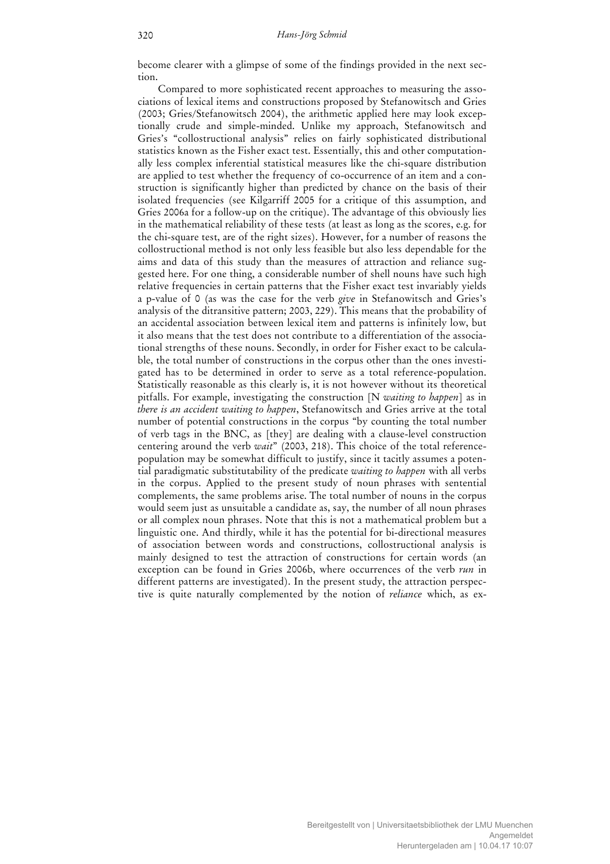become clearer with a glimpse of some of the findings provided in the next section.

Compared to more sophisticated recent approaches to measuring the associations of lexical items and constructions proposed by Stefanowitsch and Gries (2003; Gries/Stefanowitsch 2004), the arithmetic applied here may look exceptionally crude and simple-minded. Unlike my approach, Stefanowitsch and Gries's "collostructional analysis" relies on fairly sophisticated distributional statistics known as the Fisher exact test. Essentially, this and other computationally less complex inferential statistical measures like the chi-square distribution are applied to test whether the frequency of co-occurrence of an item and a construction is significantly higher than predicted by chance on the basis of their isolated frequencies (see Kilgarriff 2005 for a critique of this assumption, and Gries 2006a for a follow-up on the critique). The advantage of this obviously lies in the mathematical reliability of these tests (at least as long as the scores, e.g. for the chi-square test, are of the right sizes). However, for a number of reasons the collostructional method is not only less feasible but also less dependable for the aims and data of this study than the measures of attraction and reliance suggested here. For one thing, a considerable number of shell nouns have such high relative frequencies in certain patterns that the Fisher exact test invariably yields a p-value of 0 (as was the case for the verb give in Stefanowitsch and Gries's analysis of the ditransitive pattern; 2003, 229). This means that the probability of an accidental association between lexical item and patterns is infinitely low, but it also means that the test does not contribute to a differentiation of the associational strengths of these nouns. Secondly, in order for Fisher exact to be calculable, the total number of constructions in the corpus other than the ones investigated has to be determined in order to serve as a total reference-population. Statistically reasonable as this clearly is, it is not however without its theoretical pitfalls. For example, investigating the construction [N waiting to happen] as in there is an accident waiting to happen, Stefanowitsch and Gries arrive at the total number of potential constructions in the corpus "by counting the total number of verb tags in the BNC, as [they] are dealing with a clause-level construction centering around the verb wait" (2003, 218). This choice of the total referencepopulation may be somewhat difficult to justify, since it tacitly assumes a potential paradigmatic substitutability of the predicate waiting to happen with all verbs in the corpus. Applied to the present study of noun phrases with sentential complements, the same problems arise. The total number of nouns in the corpus would seem just as unsuitable a candidate as, say, the number of all noun phrases or all complex noun phrases. Note that this is not a mathematical problem but a linguistic one. And thirdly, while it has the potential for bi-directional measures of association between words and constructions, collostructional analysis is mainly designed to test the attraction of constructions for certain words (an exception can be found in Gries 2006b, where occurrences of the verb run in different patterns are investigated). In the present study, the attraction perspective is quite naturally complemented by the notion of *reliance* which, as ex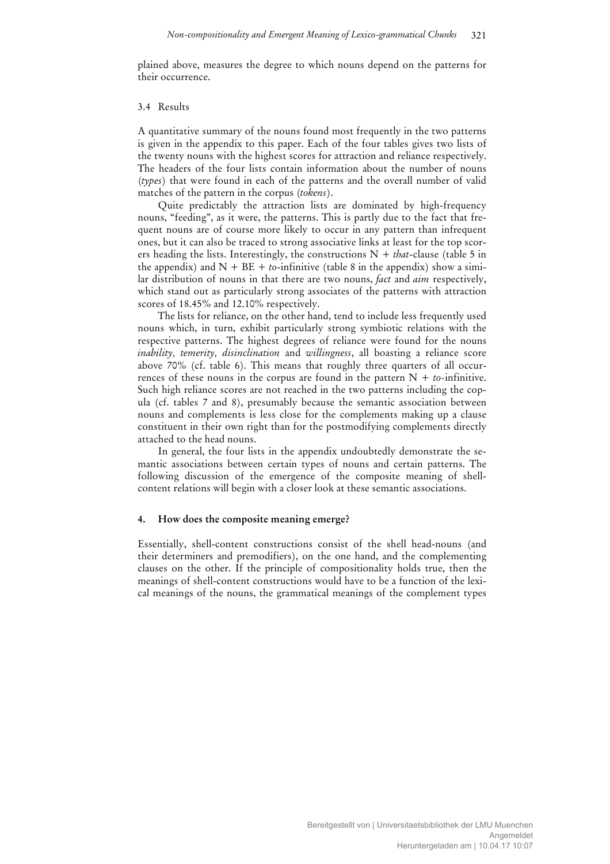plained above, measures the degree to which nouns depend on the patterns for their occurrence.

## 3.4 Results

A quantitative summary of the nouns found most frequently in the two patterns is given in the appendix to this paper. Each of the four tables gives two lists of the twenty nouns with the highest scores for attraction and reliance respectively. The headers of the four lists contain information about the number of nouns (types) that were found in each of the patterns and the overall number of valid matches of the pattern in the corpus *(tokens)*.

Quite predictably the attraction lists are dominated by high-frequency nouns, "feeding", as it were, the patterns. This is partly due to the fact that frequent nouns are of course more likely to occur in any pattern than infrequent ones, but it can also be traced to strong associative links at least for the top scorers heading the lists. Interestingly, the constructions  $N + \text{t}bat$ -clause (table 5 in the appendix) and  $N + BE + to$ -infinitive (table 8 in the appendix) show a similar distribution of nouns in that there are two nouns, *fact* and *aim* respectively, which stand out as particularly strong associates of the patterns with attraction scores of 18.45% and 12.10% respectively.

The lists for reliance, on the other hand, tend to include less frequently used nouns which, in turn, exhibit particularly strong symbiotic relations with the respective patterns. The highest degrees of reliance were found for the nouns inability, temerity, disinclination and willingness, all boasting a reliance score above 70% (cf. table 6). This means that roughly three quarters of all occurrences of these nouns in the corpus are found in the pattern  $N + to$ -infinitive. Such high reliance scores are not reached in the two patterns including the copula (cf. tables 7 and 8), presumably because the semantic association between nouns and complements is less close for the complements making up a clause constituent in their own right than for the postmodifying complements directly attached to the head nouns.

In general, the four lists in the appendix undoubtedly demonstrate the semantic associations between certain types of nouns and certain patterns. The following discussion of the emergence of the composite meaning of shellcontent relations will begin with a closer look at these semantic associations.

## 4. How does the composite meaning emerge?

Essentially, shell-content constructions consist of the shell head-nouns (and their determiners and premodifiers), on the one hand, and the complementing clauses on the other. If the principle of compositionality holds true, then the meanings of shell-content constructions would have to be a function of the lexical meanings of the nouns, the grammatical meanings of the complement types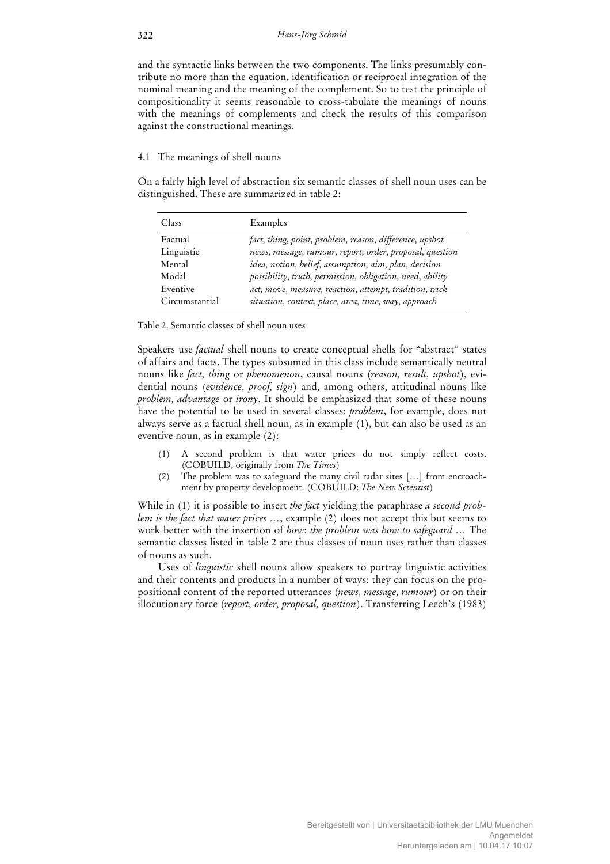and the syntactic links between the two components. The links presumably contribute no more than the equation, identification or reciprocal integration of the nominal meaning and the meaning of the complement. So to test the principle of compositionality it seems reasonable to cross-tabulate the meanings of nouns with the meanings of complements and check the results of this comparison against the constructional meanings.

### 4.1 The meanings of shell nouns

On a fairly high level of abstraction six semantic classes of shell noun uses can be distinguished. These are summarized in table 2:

| Class          | Examples                                                  |
|----------------|-----------------------------------------------------------|
| Factual        | fact, thing, point, problem, reason, difference, upshot   |
| Linguistic     | news, message, rumour, report, order, proposal, question  |
| Mental         | idea, notion, belief, assumption, aim, plan, decision     |
| Modal          | possibility, truth, permission, obligation, need, ability |
| Eventive       | act, move, measure, reaction, attempt, tradition, trick   |
| Circumstantial | situation, context, place, area, time, way, approach      |

Table 2. Semantic classes of shell noun uses

Speakers use *factual* shell nouns to create conceptual shells for "abstract" states of affairs and facts. The types subsumed in this class include semantically neutral nouns like fact, thing or phenomenon, causal nouns (reason, result, upshot), evidential nouns (evidence, proof, sign) and, among others, attitudinal nouns like problem, advantage or irony. It should be emphasized that some of these nouns have the potential to be used in several classes: *problem*, for example, does not always serve as a factual shell noun, as in example (1), but can also be used as an eventive noun, as in example (2):

- (1) A second problem is that water prices do not simply reflect costs. (COBUILD, originally from The Times)
- (2) The problem was to safeguard the many civil radar sites […] from encroachment by property development. (COBUILD: The New Scientist)

While in (1) it is possible to insert the fact yielding the paraphrase a second problem is the fact that water prices ..., example (2) does not accept this but seems to work better with the insertion of how: the problem was how to safeguard ... The semantic classes listed in table 2 are thus classes of noun uses rather than classes of nouns as such.

Uses of linguistic shell nouns allow speakers to portray linguistic activities and their contents and products in a number of ways: they can focus on the propositional content of the reported utterances (news, message, rumour) or on their illocutionary force (report, order, proposal, question). Transferring Leech's (1983)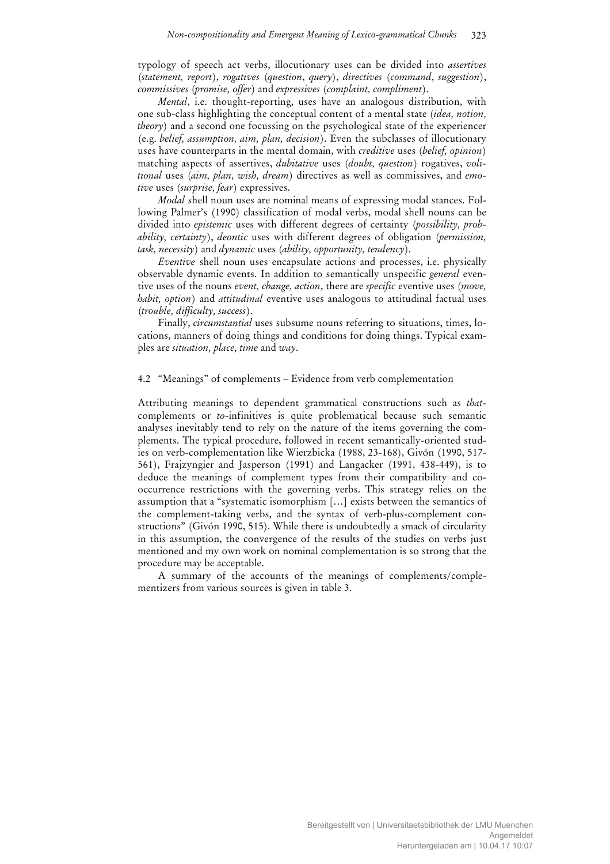typology of speech act verbs, illocutionary uses can be divided into assertives (statement, report), rogatives (question, query), directives (command, suggestion), commissives (promise, offer) and expressives (complaint, compliment).

Mental, i.e. thought-reporting, uses have an analogous distribution, with one sub-class highlighting the conceptual content of a mental state (idea, notion, theory) and a second one focussing on the psychological state of the experiencer (e.g. belief, assumption, aim, plan, decision). Even the subclasses of illocutionary uses have counterparts in the mental domain, with creditive uses (belief, opinion) matching aspects of assertives, dubitative uses (doubt, question) rogatives, volitional uses (aim, plan, wish, dream) directives as well as commissives, and emotive uses (surprise, fear) expressives.

Modal shell noun uses are nominal means of expressing modal stances. Following Palmer's (1990) classification of modal verbs, modal shell nouns can be divided into *epistemic* uses with different degrees of certainty (possibility, probability, certainty), deontic uses with different degrees of obligation (permission, task, necessity) and dynamic uses (ability, opportunity, tendency).

Eventive shell noun uses encapsulate actions and processes, i.e. physically observable dynamic events. In addition to semantically unspecific general eventive uses of the nouns event, change, action, there are specific eventive uses (move, habit, option) and attitudinal eventive uses analogous to attitudinal factual uses (trouble, difficulty, success).

Finally, circumstantial uses subsume nouns referring to situations, times, locations, manners of doing things and conditions for doing things. Typical examples are situation, place, time and way.

## 4.2 "Meanings" of complements – Evidence from verb complementation

Attributing meanings to dependent grammatical constructions such as thatcomplements or to-infinitives is quite problematical because such semantic analyses inevitably tend to rely on the nature of the items governing the complements. The typical procedure, followed in recent semantically-oriented studies on verb-complementation like Wierzbicka (1988, 23-168), Givón (1990, 517- 561), Frajzyngier and Jasperson (1991) and Langacker (1991, 438-449), is to deduce the meanings of complement types from their compatibility and cooccurrence restrictions with the governing verbs. This strategy relies on the assumption that a "systematic isomorphism […] exists between the semantics of the complement-taking verbs, and the syntax of verb-plus-complement constructions" (Givón 1990, 515). While there is undoubtedly a smack of circularity in this assumption, the convergence of the results of the studies on verbs just mentioned and my own work on nominal complementation is so strong that the procedure may be acceptable.

A summary of the accounts of the meanings of complements/complementizers from various sources is given in table 3.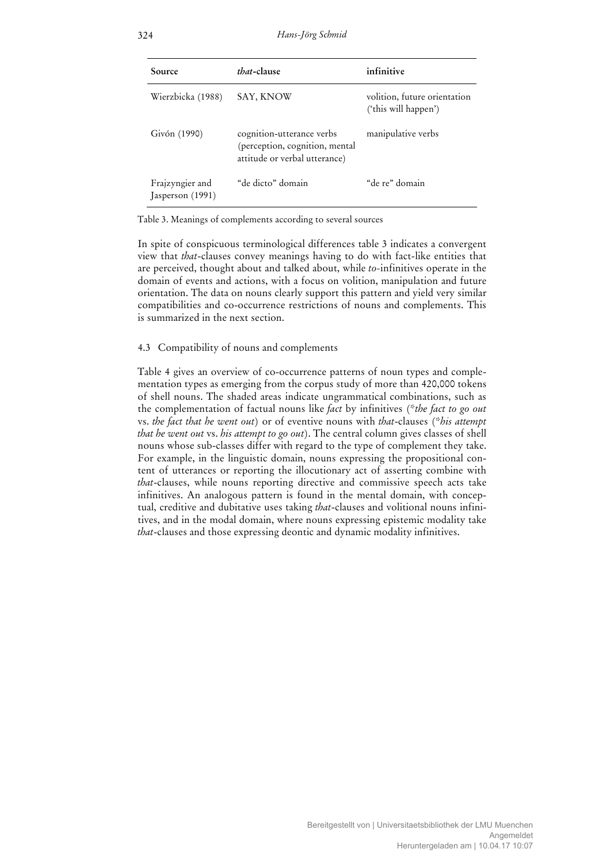| Source                              | <i>that</i> -clause                                                                          | infinitive                                           |
|-------------------------------------|----------------------------------------------------------------------------------------------|------------------------------------------------------|
| Wierzbicka (1988)                   | SAY, KNOW                                                                                    | volition, future orientation<br>('this will happen') |
| Givón (1990)                        | cognition-utterance verbs<br>(perception, cognition, mental<br>attitude or verbal utterance) | manipulative verbs                                   |
| Frajzyngier and<br>Jasperson (1991) | "de dicto" domain                                                                            | "de re" domain                                       |

Table 3. Meanings of complements according to several sources

In spite of conspicuous terminological differences table 3 indicates a convergent view that that-clauses convey meanings having to do with fact-like entities that are perceived, thought about and talked about, while to-infinitives operate in the domain of events and actions, with a focus on volition, manipulation and future orientation. The data on nouns clearly support this pattern and yield very similar compatibilities and co-occurrence restrictions of nouns and complements. This is summarized in the next section.

## 4.3 Compatibility of nouns and complements

Table 4 gives an overview of co-occurrence patterns of noun types and complementation types as emerging from the corpus study of more than 420,000 tokens of shell nouns. The shaded areas indicate ungrammatical combinations, such as the complementation of factual nouns like fact by infinitives (\*the fact to go out vs. the fact that he went out) or of eventive nouns with that-clauses (\*his attempt that he went out vs. his attempt to go out). The central column gives classes of shell nouns whose sub-classes differ with regard to the type of complement they take. For example, in the linguistic domain, nouns expressing the propositional content of utterances or reporting the illocutionary act of asserting combine with that-clauses, while nouns reporting directive and commissive speech acts take infinitives. An analogous pattern is found in the mental domain, with conceptual, creditive and dubitative uses taking that-clauses and volitional nouns infinitives, and in the modal domain, where nouns expressing epistemic modality take that-clauses and those expressing deontic and dynamic modality infinitives.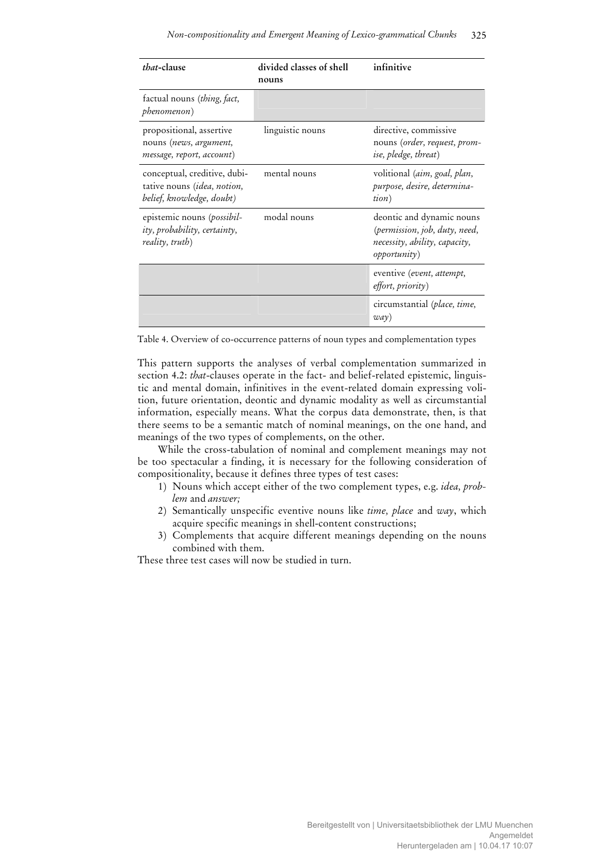| <i>that</i> -clause                                                                             | divided classes of shell<br>nouns | infinitive                                                                                                          |
|-------------------------------------------------------------------------------------------------|-----------------------------------|---------------------------------------------------------------------------------------------------------------------|
| factual nouns <i>(thing, fact,</i><br>phenomenon)                                               |                                   |                                                                                                                     |
| propositional, assertive<br>nouns (news, argument,<br>message, report, account)                 | linguistic nouns                  | directive, commissive<br>nouns (order, request, prom-<br>ise, pledge, threat)                                       |
| conceptual, creditive, dubi-<br>tative nouns <i>(idea, notion,</i><br>belief, knowledge, doubt) | mental nouns                      | volitional (aim, goal, plan,<br>purpose, desire, determina-<br>tion)                                                |
| epistemic nouns (possibil-<br>ity, probability, certainty,<br>reality, truth)                   | modal nouns                       | deontic and dynamic nouns<br>(permission, job, duty, need,<br>necessity, ability, capacity,<br><i>opportunity</i> ) |
|                                                                                                 |                                   | eventive (event, attempt,<br>effort, priority)                                                                      |
|                                                                                                 |                                   | circumstantial (place, time,<br>way)                                                                                |

Table 4. Overview of co-occurrence patterns of noun types and complementation types

This pattern supports the analyses of verbal complementation summarized in section 4.2: that-clauses operate in the fact- and belief-related epistemic, linguistic and mental domain, infinitives in the event-related domain expressing volition, future orientation, deontic and dynamic modality as well as circumstantial information, especially means. What the corpus data demonstrate, then, is that there seems to be a semantic match of nominal meanings, on the one hand, and meanings of the two types of complements, on the other.

While the cross-tabulation of nominal and complement meanings may not be too spectacular a finding, it is necessary for the following consideration of compositionality, because it defines three types of test cases:

- 1) Nouns which accept either of the two complement types, e.g. *idea, prob*lem and answer;
- 2) Semantically unspecific eventive nouns like time, place and way, which acquire specific meanings in shell-content constructions;
- 3) Complements that acquire different meanings depending on the nouns combined with them.

These three test cases will now be studied in turn.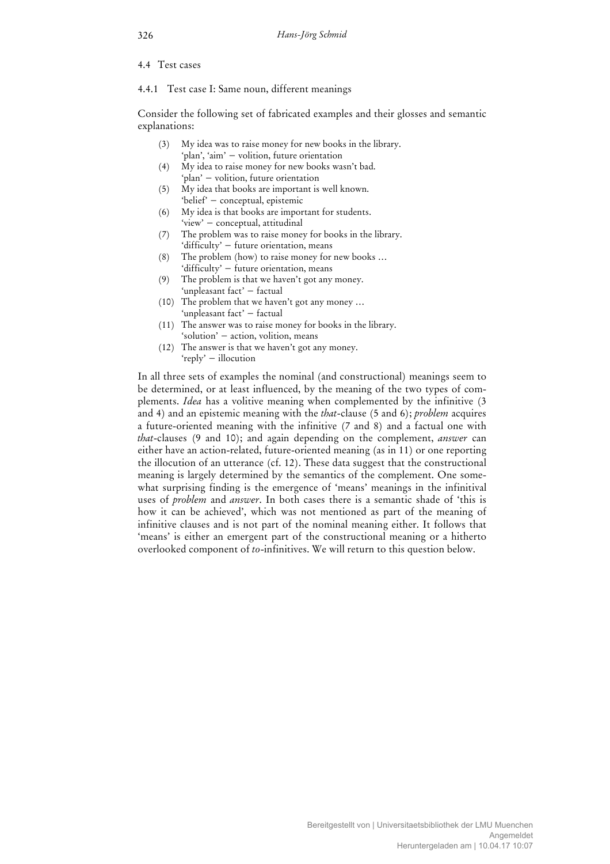4.4 Test cases

4.4.1 Test case I: Same noun, different meanings

Consider the following set of fabricated examples and their glosses and semantic explanations:

- (3) My idea was to raise money for new books in the library. 'plan', 'aim' − volition, future orientation
- (4) My idea to raise money for new books wasn't bad.
- 'plan' − volition, future orientation (5) My idea that books are important is well known.
- 'belief' − conceptual, epistemic
- (6) My idea is that books are important for students. 'view' − conceptual, attitudinal
- (7) The problem was to raise money for books in the library. 'difficulty' − future orientation, means
- (8) The problem (how) to raise money for new books … 'difficulty' − future orientation, means
- (9) The problem is that we haven't got any money. 'unpleasant fact' − factual
- (10) The problem that we haven't got any money … 'unpleasant fact' − factual
- (11) The answer was to raise money for books in the library. 'solution' − action, volition, means
- (12) The answer is that we haven't got any money. 'reply' − illocution

In all three sets of examples the nominal (and constructional) meanings seem to be determined, or at least influenced, by the meaning of the two types of complements. Idea has a volitive meaning when complemented by the infinitive (3 and 4) and an epistemic meaning with the *that*-clause (5 and 6); *problem* acquires a future-oriented meaning with the infinitive (7 and 8) and a factual one with that-clauses (9 and 10); and again depending on the complement, answer can either have an action-related, future-oriented meaning (as in 11) or one reporting the illocution of an utterance (cf. 12). These data suggest that the constructional meaning is largely determined by the semantics of the complement. One somewhat surprising finding is the emergence of 'means' meanings in the infinitival uses of *problem* and *answer*. In both cases there is a semantic shade of 'this is how it can be achieved', which was not mentioned as part of the meaning of infinitive clauses and is not part of the nominal meaning either. It follows that 'means' is either an emergent part of the constructional meaning or a hitherto overlooked component of to-infinitives. We will return to this question below.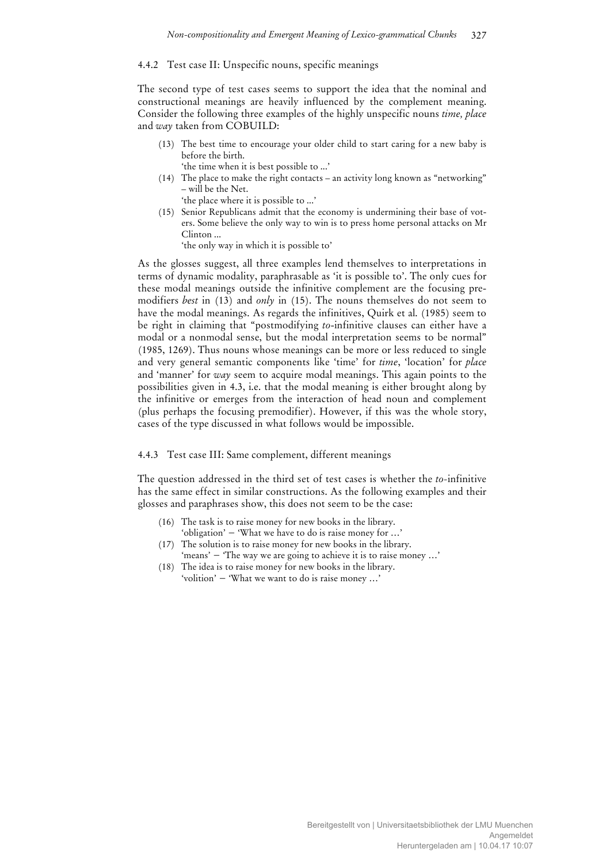# 4.4.2 Test case II: Unspecific nouns, specific meanings

The second type of test cases seems to support the idea that the nominal and constructional meanings are heavily influenced by the complement meaning. Consider the following three examples of the highly unspecific nouns time, place and way taken from COBUILD:

(13) The best time to encourage your older child to start caring for a new baby is before the birth.

'the time when it is best possible to ...'

- (14) The place to make the right contacts an activity long known as "networking" – will be the Net.
	- 'the place where it is possible to ...'
- (15) Senior Republicans admit that the economy is undermining their base of voters. Some believe the only way to win is to press home personal attacks on Mr Clinton ...

'the only way in which it is possible to'

As the glosses suggest, all three examples lend themselves to interpretations in terms of dynamic modality, paraphrasable as 'it is possible to'. The only cues for these modal meanings outside the infinitive complement are the focusing premodifiers best in (13) and only in (15). The nouns themselves do not seem to have the modal meanings. As regards the infinitives, Quirk et al. (1985) seem to be right in claiming that "postmodifying to-infinitive clauses can either have a modal or a nonmodal sense, but the modal interpretation seems to be normal" (1985, 1269). Thus nouns whose meanings can be more or less reduced to single and very general semantic components like 'time' for time, 'location' for place and 'manner' for way seem to acquire modal meanings. This again points to the possibilities given in 4.3, i.e. that the modal meaning is either brought along by the infinitive or emerges from the interaction of head noun and complement (plus perhaps the focusing premodifier). However, if this was the whole story, cases of the type discussed in what follows would be impossible.

#### 4.4.3 Test case III: Same complement, different meanings

The question addressed in the third set of test cases is whether the to-infinitive has the same effect in similar constructions. As the following examples and their glosses and paraphrases show, this does not seem to be the case:

- (16) The task is to raise money for new books in the library. 'obligation' − 'What we have to do is raise money for …'
- (17) The solution is to raise money for new books in the library. 'means' − 'The way we are going to achieve it is to raise money …'
- (18) The idea is to raise money for new books in the library. 'volition' − 'What we want to do is raise money …'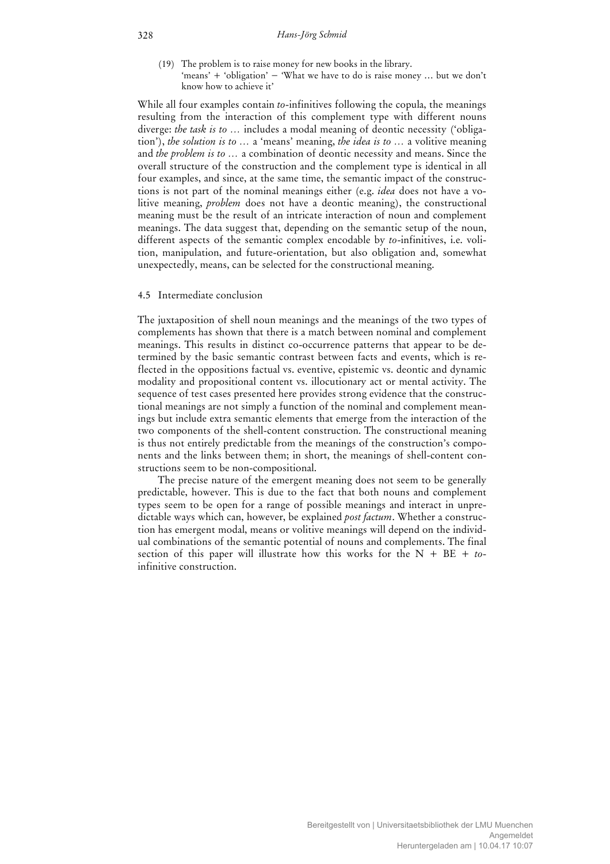(19) The problem is to raise money for new books in the library. 'means' + 'obligation' − 'What we have to do is raise money … but we don't know how to achieve it'

While all four examples contain to-infinitives following the copula, the meanings resulting from the interaction of this complement type with different nouns diverge: the task is to ... includes a modal meaning of deontic necessity ('obligation'), the solution is to  $\ldots$  a 'means' meaning, the idea is to  $\ldots$  a volitive meaning and the problem is to … a combination of deontic necessity and means. Since the overall structure of the construction and the complement type is identical in all four examples, and since, at the same time, the semantic impact of the constructions is not part of the nominal meanings either (e.g. *idea* does not have a volitive meaning, problem does not have a deontic meaning), the constructional meaning must be the result of an intricate interaction of noun and complement meanings. The data suggest that, depending on the semantic setup of the noun, different aspects of the semantic complex encodable by to-infinitives, i.e. volition, manipulation, and future-orientation, but also obligation and, somewhat unexpectedly, means, can be selected for the constructional meaning.

#### 4.5 Intermediate conclusion

The juxtaposition of shell noun meanings and the meanings of the two types of complements has shown that there is a match between nominal and complement meanings. This results in distinct co-occurrence patterns that appear to be determined by the basic semantic contrast between facts and events, which is reflected in the oppositions factual vs. eventive, epistemic vs. deontic and dynamic modality and propositional content vs. illocutionary act or mental activity. The sequence of test cases presented here provides strong evidence that the constructional meanings are not simply a function of the nominal and complement meanings but include extra semantic elements that emerge from the interaction of the two components of the shell-content construction. The constructional meaning is thus not entirely predictable from the meanings of the construction's components and the links between them; in short, the meanings of shell-content constructions seem to be non-compositional.

The precise nature of the emergent meaning does not seem to be generally predictable, however. This is due to the fact that both nouns and complement types seem to be open for a range of possible meanings and interact in unpredictable ways which can, however, be explained post factum. Whether a construction has emergent modal, means or volitive meanings will depend on the individual combinations of the semantic potential of nouns and complements. The final section of this paper will illustrate how this works for the  $N + BE + to$ infinitive construction.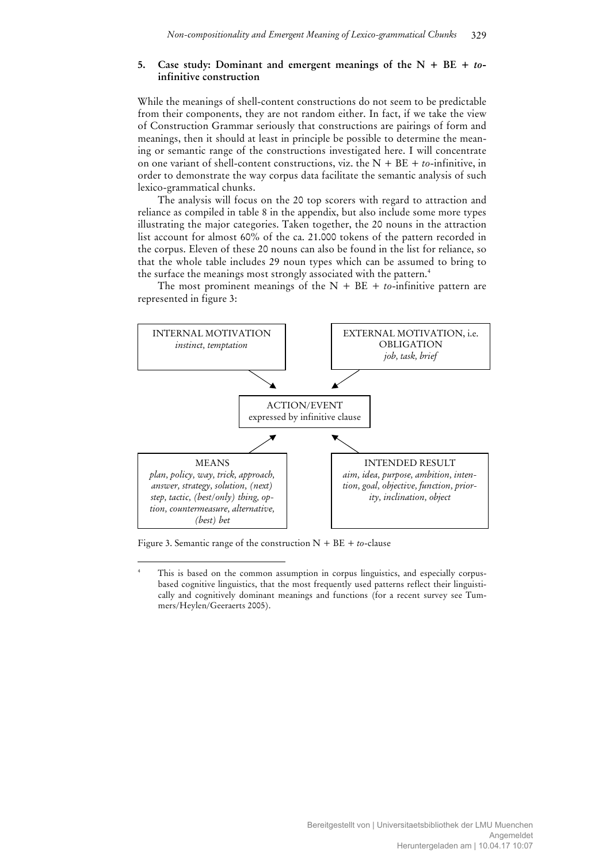## 5. Case study: Dominant and emergent meanings of the  $N + BE + to$ infinitive construction

While the meanings of shell-content constructions do not seem to be predictable from their components, they are not random either. In fact, if we take the view of Construction Grammar seriously that constructions are pairings of form and meanings, then it should at least in principle be possible to determine the meaning or semantic range of the constructions investigated here. I will concentrate on one variant of shell-content constructions, viz. the  $N + BE + to$ -infinitive, in order to demonstrate the way corpus data facilitate the semantic analysis of such lexico-grammatical chunks.

The analysis will focus on the 20 top scorers with regard to attraction and reliance as compiled in table 8 in the appendix, but also include some more types illustrating the major categories. Taken together, the 20 nouns in the attraction list account for almost 60% of the ca. 21.000 tokens of the pattern recorded in the corpus. Eleven of these 20 nouns can also be found in the list for reliance, so that the whole table includes 29 noun types which can be assumed to bring to the surface the meanings most strongly associated with the pattern.<sup>4</sup>



The most prominent meanings of the  $N + BE + to$ -infinitive pattern are represented in figure 3:

Figure 3. Semantic range of the construction  $N + BE + to$ -clause

 $\overline{a}$ 

<sup>4</sup> This is based on the common assumption in corpus linguistics, and especially corpusbased cognitive linguistics, that the most frequently used patterns reflect their linguistically and cognitively dominant meanings and functions (for a recent survey see Tummers/Heylen/Geeraerts 2005).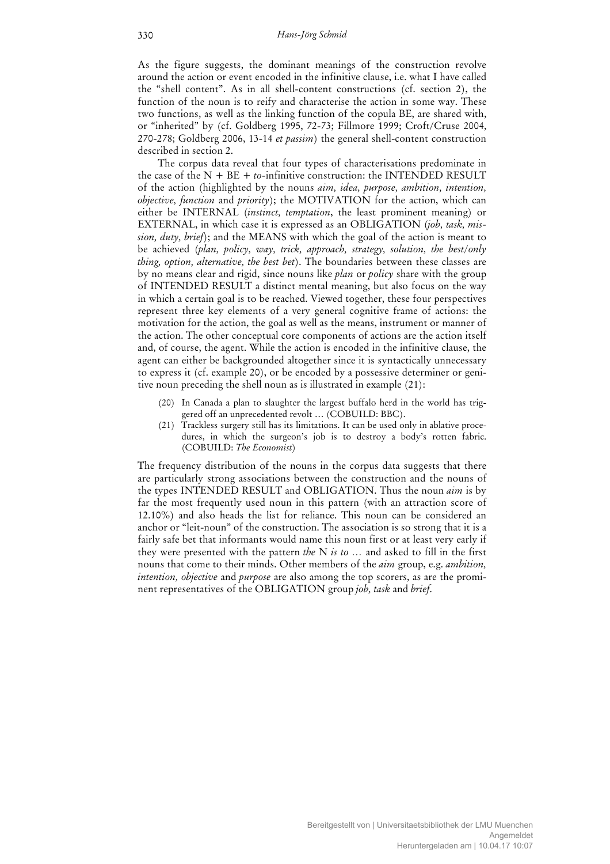As the figure suggests, the dominant meanings of the construction revolve around the action or event encoded in the infinitive clause, i.e. what I have called the "shell content". As in all shell-content constructions (cf. section 2), the function of the noun is to reify and characterise the action in some way. These two functions, as well as the linking function of the copula BE, are shared with, or "inherited" by (cf. Goldberg 1995, 72-73; Fillmore 1999; Croft/Cruse 2004, 270-278; Goldberg 2006, 13-14 et passim) the general shell-content construction described in section 2.

The corpus data reveal that four types of characterisations predominate in the case of the  $N + BE + to$ -infinitive construction: the INTENDED RESULT of the action (highlighted by the nouns aim, idea, purpose, ambition, intention, objective, function and priority); the MOTIVATION for the action, which can either be INTERNAL *(instinct, temptation*, the least prominent meaning) or EXTERNAL, in which case it is expressed as an OBLIGATION (job, task, mission, duty, brief); and the MEANS with which the goal of the action is meant to be achieved (plan, policy, way, trick, approach, strategy, solution, the best/only thing, option, alternative, the best bet). The boundaries between these classes are by no means clear and rigid, since nouns like plan or policy share with the group of INTENDED RESULT a distinct mental meaning, but also focus on the way in which a certain goal is to be reached. Viewed together, these four perspectives represent three key elements of a very general cognitive frame of actions: the motivation for the action, the goal as well as the means, instrument or manner of the action. The other conceptual core components of actions are the action itself and, of course, the agent. While the action is encoded in the infinitive clause, the agent can either be backgrounded altogether since it is syntactically unnecessary to express it (cf. example 20), or be encoded by a possessive determiner or genitive noun preceding the shell noun as is illustrated in example (21):

- (20) In Canada a plan to slaughter the largest buffalo herd in the world has triggered off an unprecedented revolt … (COBUILD: BBC).
- (21) Trackless surgery still has its limitations. It can be used only in ablative procedures, in which the surgeon's job is to destroy a body's rotten fabric. (COBUILD: The Economist)

The frequency distribution of the nouns in the corpus data suggests that there are particularly strong associations between the construction and the nouns of the types INTENDED RESULT and OBLIGATION. Thus the noun aim is by far the most frequently used noun in this pattern (with an attraction score of 12.10%) and also heads the list for reliance. This noun can be considered an anchor or "leit-noun" of the construction. The association is so strong that it is a fairly safe bet that informants would name this noun first or at least very early if they were presented with the pattern the N is to  $\ldots$  and asked to fill in the first nouns that come to their minds. Other members of the *aim* group, e.g. *ambition*, intention, objective and purpose are also among the top scorers, as are the prominent representatives of the OBLIGATION group job, task and brief.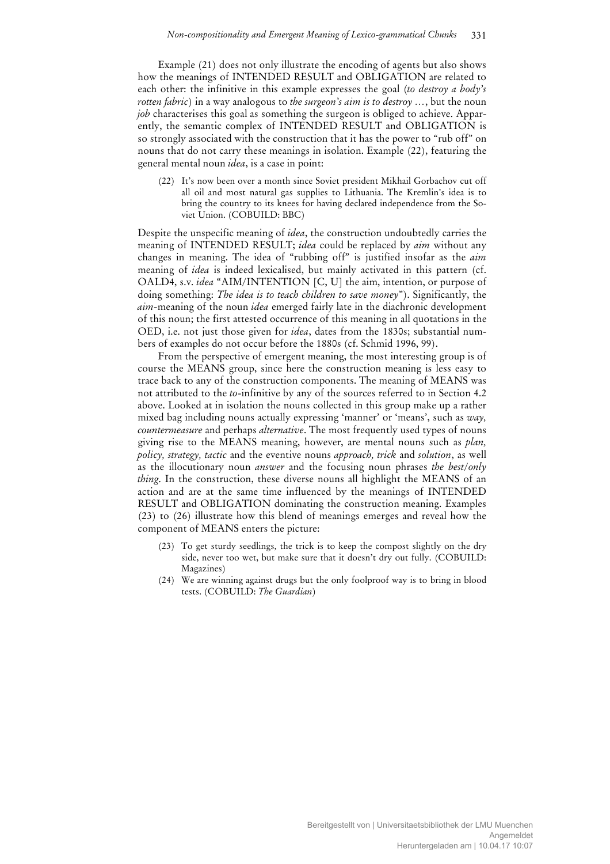Example (21) does not only illustrate the encoding of agents but also shows how the meanings of INTENDED RESULT and OBLIGATION are related to each other: the infinitive in this example expresses the goal *(to destroy a body's* rotten fabric) in a way analogous to the surgeon's aim is to destroy ..., but the noun job characterises this goal as something the surgeon is obliged to achieve. Apparently, the semantic complex of INTENDED RESULT and OBLIGATION is so strongly associated with the construction that it has the power to "rub off" on nouns that do not carry these meanings in isolation. Example (22), featuring the general mental noun idea, is a case in point:

(22) It's now been over a month since Soviet president Mikhail Gorbachov cut off all oil and most natural gas supplies to Lithuania. The Kremlin's idea is to bring the country to its knees for having declared independence from the Soviet Union. (COBUILD: BBC)

Despite the unspecific meaning of *idea*, the construction undoubtedly carries the meaning of INTENDED RESULT; *idea* could be replaced by *aim* without any changes in meaning. The idea of "rubbing off" is justified insofar as the *aim* meaning of *idea* is indeed lexicalised, but mainly activated in this pattern (cf. OALD4, s.v. idea "AIM/INTENTION [C, U] the aim, intention, or purpose of doing something: The idea is to teach children to save money"). Significantly, the aim-meaning of the noun idea emerged fairly late in the diachronic development of this noun; the first attested occurrence of this meaning in all quotations in the OED, i.e. not just those given for idea, dates from the 1830s; substantial numbers of examples do not occur before the 1880s (cf. Schmid 1996, 99).

From the perspective of emergent meaning, the most interesting group is of course the MEANS group, since here the construction meaning is less easy to trace back to any of the construction components. The meaning of MEANS was not attributed to the to-infinitive by any of the sources referred to in Section 4.2 above. Looked at in isolation the nouns collected in this group make up a rather mixed bag including nouns actually expressing 'manner' or 'means', such as way, countermeasure and perhaps alternative. The most frequently used types of nouns giving rise to the MEANS meaning, however, are mental nouns such as plan, policy, strategy, tactic and the eventive nouns approach, trick and solution, as well as the illocutionary noun answer and the focusing noun phrases the best/only thing. In the construction, these diverse nouns all highlight the MEANS of an action and are at the same time influenced by the meanings of INTENDED RESULT and OBLIGATION dominating the construction meaning. Examples (23) to (26) illustrate how this blend of meanings emerges and reveal how the component of MEANS enters the picture:

- (23) To get sturdy seedlings, the trick is to keep the compost slightly on the dry side, never too wet, but make sure that it doesn't dry out fully. (COBUILD: Magazines)
- (24) We are winning against drugs but the only foolproof way is to bring in blood tests. (COBUILD: The Guardian)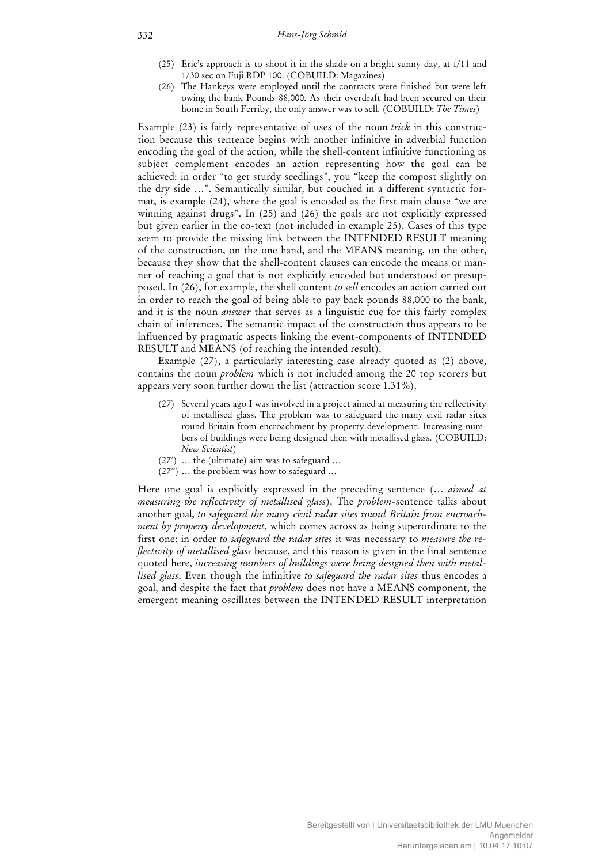- (25) Eric's approach is to shoot it in the shade on a bright sunny day, at f/11 and 1/30 sec on Fuji RDP 100. (COBUILD: Magazines)
- (26) The Hankeys were employed until the contracts were finished but were left owing the bank Pounds 88,000. As their overdraft had been secured on their home in South Ferriby, the only answer was to sell. (COBUILD: *The Times*)

Example (23) is fairly representative of uses of the noun trick in this construction because this sentence begins with another infinitive in adverbial function encoding the goal of the action, while the shell-content infinitive functioning as subject complement encodes an action representing how the goal can be achieved: in order "to get sturdy seedlings", you "keep the compost slightly on the dry side …". Semantically similar, but couched in a different syntactic format, is example (24), where the goal is encoded as the first main clause "we are winning against drugs". In (25) and (26) the goals are not explicitly expressed but given earlier in the co-text (not included in example 25). Cases of this type seem to provide the missing link between the INTENDED RESULT meaning of the construction, on the one hand, and the MEANS meaning, on the other, because they show that the shell-content clauses can encode the means or manner of reaching a goal that is not explicitly encoded but understood or presupposed. In (26), for example, the shell content to sell encodes an action carried out in order to reach the goal of being able to pay back pounds 88,000 to the bank, and it is the noun answer that serves as a linguistic cue for this fairly complex chain of inferences. The semantic impact of the construction thus appears to be influenced by pragmatic aspects linking the event-components of INTENDED RESULT and MEANS (of reaching the intended result).

Example (27), a particularly interesting case already quoted as (2) above, contains the noun problem which is not included among the 20 top scorers but appears very soon further down the list (attraction score 1.31%).

- (27) Several years ago I was involved in a project aimed at measuring the reflectivity of metallised glass. The problem was to safeguard the many civil radar sites round Britain from encroachment by property development. Increasing numbers of buildings were being designed then with metallised glass. (COBUILD: New Scientist)
- (27') … the (ultimate) aim was to safeguard …
- (27") … the problem was how to safeguard …

Here one goal is explicitly expressed in the preceding sentence (... aimed at measuring the reflectivity of metallised glass). The problem-sentence talks about another goal, to safeguard the many civil radar sites round Britain from encroachment by property development, which comes across as being superordinate to the first one: in order to safeguard the radar sites it was necessary to measure the reflectivity of metallised glass because, and this reason is given in the final sentence quoted here, increasing numbers of buildings were being designed then with metallised glass. Even though the infinitive to safeguard the radar sites thus encodes a goal, and despite the fact that *problem* does not have a MEANS component, the emergent meaning oscillates between the INTENDED RESULT interpretation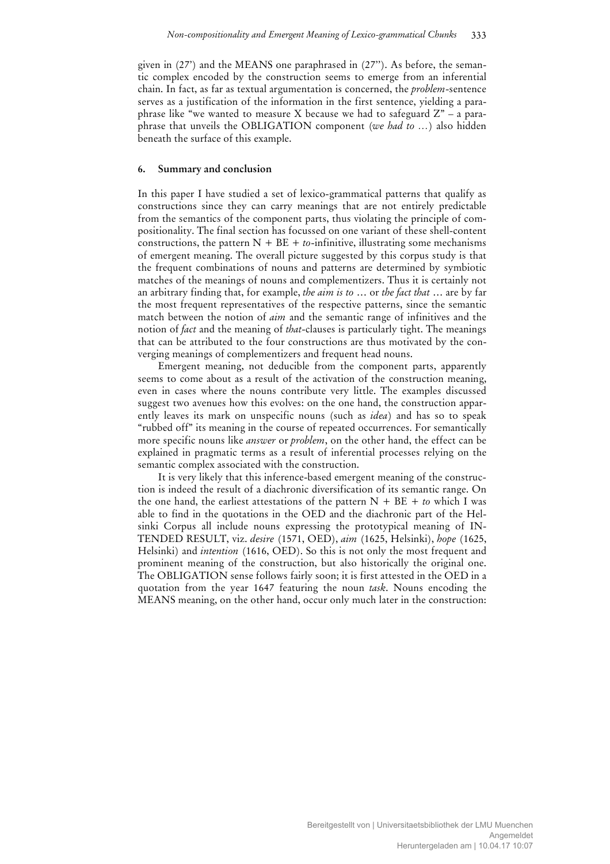given in (27') and the MEANS one paraphrased in (27''). As before, the semantic complex encoded by the construction seems to emerge from an inferential chain. In fact, as far as textual argumentation is concerned, the problem-sentence serves as a justification of the information in the first sentence, yielding a paraphrase like "we wanted to measure X because we had to safeguard  $Z^*$  – a paraphrase that unveils the OBLIGATION component (we had to  $\ldots$ ) also hidden beneath the surface of this example.

### 6. Summary and conclusion

In this paper I have studied a set of lexico-grammatical patterns that qualify as constructions since they can carry meanings that are not entirely predictable from the semantics of the component parts, thus violating the principle of compositionality. The final section has focussed on one variant of these shell-content constructions, the pattern  $N + BE + to$ -infinitive, illustrating some mechanisms of emergent meaning. The overall picture suggested by this corpus study is that the frequent combinations of nouns and patterns are determined by symbiotic matches of the meanings of nouns and complementizers. Thus it is certainly not an arbitrary finding that, for example, the aim is to  $\ldots$  or the fact that  $\ldots$  are by far the most frequent representatives of the respective patterns, since the semantic match between the notion of aim and the semantic range of infinitives and the notion of fact and the meaning of that-clauses is particularly tight. The meanings that can be attributed to the four constructions are thus motivated by the converging meanings of complementizers and frequent head nouns.

Emergent meaning, not deducible from the component parts, apparently seems to come about as a result of the activation of the construction meaning, even in cases where the nouns contribute very little. The examples discussed suggest two avenues how this evolves: on the one hand, the construction apparently leaves its mark on unspecific nouns (such as *idea*) and has so to speak "rubbed off" its meaning in the course of repeated occurrences. For semantically more specific nouns like *answer* or *problem*, on the other hand, the effect can be explained in pragmatic terms as a result of inferential processes relying on the semantic complex associated with the construction.

It is very likely that this inference-based emergent meaning of the construction is indeed the result of a diachronic diversification of its semantic range. On the one hand, the earliest attestations of the pattern  $N + BE + to$  which I was able to find in the quotations in the OED and the diachronic part of the Helsinki Corpus all include nouns expressing the prototypical meaning of IN-TENDED RESULT, viz. desire (1571, OED), aim (1625, Helsinki), hope (1625, Helsinki) and intention (1616, OED). So this is not only the most frequent and prominent meaning of the construction, but also historically the original one. The OBLIGATION sense follows fairly soon; it is first attested in the OED in a quotation from the year 1647 featuring the noun task. Nouns encoding the MEANS meaning, on the other hand, occur only much later in the construction: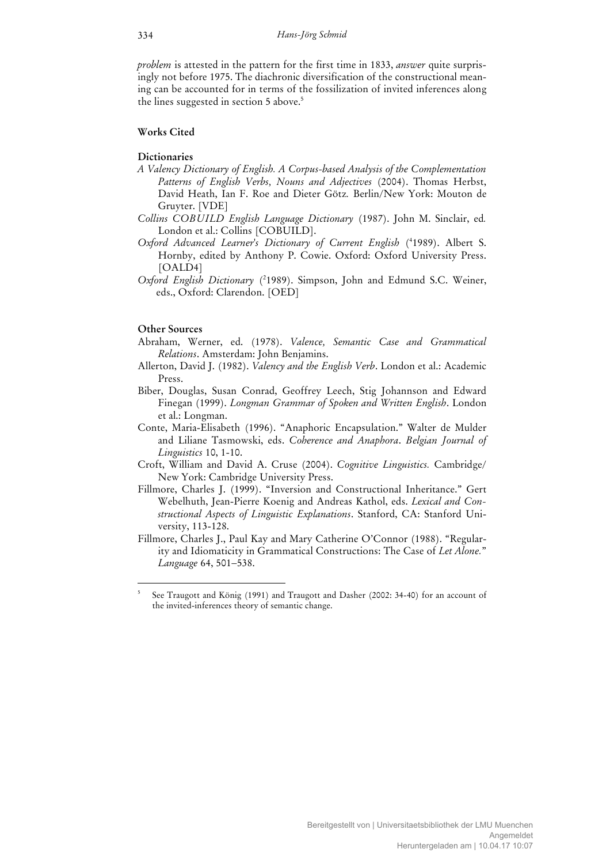problem is attested in the pattern for the first time in 1833, answer quite surprisingly not before 1975. The diachronic diversification of the constructional meaning can be accounted for in terms of the fossilization of invited inferences along the lines suggested in section 5 above.<sup>5</sup>

## Works Cited

#### Dictionaries

- A Valency Dictionary of English. A Corpus-based Analysis of the Complementation Patterns of English Verbs, Nouns and Adjectives (2004). Thomas Herbst, David Heath, Ian F. Roe and Dieter Götz. Berlin/New York: Mouton de Gruyter. [VDE]
- Collins COBUILD English Language Dictionary (1987). John M. Sinclair, ed. London et al.: Collins [COBUILD].
- Oxford Advanced Learner's Dictionary of Current English (\*1989). Albert S. Hornby, edited by Anthony P. Cowie. Oxford: Oxford University Press. [OALD4]
- Oxford English Dictionary (<sup>2</sup>1989). Simpson, John and Edmund S.C. Weiner, eds., Oxford: Clarendon. [OED]

### Other Sources

 $\overline{a}$ 

- Abraham, Werner, ed. (1978). Valence, Semantic Case and Grammatical Relations. Amsterdam: John Benjamins.
- Allerton, David J. (1982). *Valency and the English Verb*. London et al.: Academic Press.
- Biber, Douglas, Susan Conrad, Geoffrey Leech, Stig Johannson and Edward Finegan (1999). Longman Grammar of Spoken and Written English. London et al.: Longman.
- Conte, Maria-Elisabeth (1996). "Anaphoric Encapsulation." Walter de Mulder and Liliane Tasmowski, eds. Coherence and Anaphora. Belgian Journal of Linguistics 10, 1-10.
- Croft, William and David A. Cruse (2004). Cognitive Linguistics. Cambridge/ New York: Cambridge University Press.
- Fillmore, Charles J. (1999). "Inversion and Constructional Inheritance." Gert Webelhuth, Jean-Pierre Koenig and Andreas Kathol, eds. Lexical and Constructional Aspects of Linguistic Explanations. Stanford, CA: Stanford University, 113-128.
- Fillmore, Charles J., Paul Kay and Mary Catherine O'Connor (1988). "Regularity and Idiomaticity in Grammatical Constructions: The Case of Let Alone." Language 64, 501−538.

<sup>5</sup> See Traugott and König (1991) and Traugott and Dasher (2002: 34-40) for an account of the invited-inferences theory of semantic change.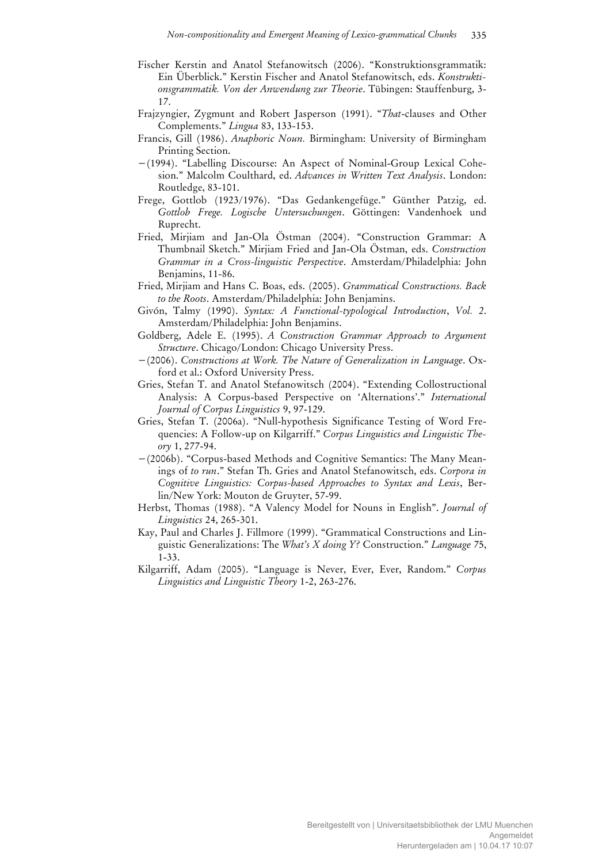- Fischer Kerstin and Anatol Stefanowitsch (2006). "Konstruktionsgrammatik: Ein Überblick." Kerstin Fischer and Anatol Stefanowitsch, eds. Konstruktionsgrammatik. Von der Anwendung zur Theorie. Tübingen: Stauffenburg, 3- 17.
- Frajzyngier, Zygmunt and Robert Jasperson (1991). "That-clauses and Other Complements." Lingua 83, 133-153.
- Francis, Gill (1986). Anaphoric Noun. Birmingham: University of Birmingham Printing Section.
- −(1994). "Labelling Discourse: An Aspect of Nominal-Group Lexical Cohesion." Malcolm Coulthard, ed. Advances in Written Text Analysis. London: Routledge, 83-101.
- Frege, Gottlob (1923/1976). "Das Gedankengefüge." Günther Patzig, ed. Gottlob Frege. Logische Untersuchungen. Göttingen: Vandenhoek und Ruprecht.
- Fried, Mirjiam and Jan-Ola Östman (2004). "Construction Grammar: A Thumbnail Sketch." Mirjiam Fried and Jan-Ola Östman, eds. Construction Grammar in a Cross-linguistic Perspective. Amsterdam/Philadelphia: John Benjamins, 11-86.
- Fried, Mirjiam and Hans C. Boas, eds. (2005). Grammatical Constructions. Back to the Roots. Amsterdam/Philadelphia: John Benjamins.
- Givón, Talmy (1990). Syntax: A Functional-typological Introduction, Vol. 2. Amsterdam/Philadelphia: John Benjamins.
- Goldberg, Adele E. (1995). A Construction Grammar Approach to Argument Structure. Chicago/London: Chicago University Press.
- −(2006). Constructions at Work. The Nature of Generalization in Language. Oxford et al.: Oxford University Press.
- Gries, Stefan T. and Anatol Stefanowitsch (2004). "Extending Collostructional Analysis: A Corpus-based Perspective on 'Alternations'." International Journal of Corpus Linguistics 9, 97-129.
- Gries, Stefan T. (2006a). "Null-hypothesis Significance Testing of Word Frequencies: A Follow-up on Kilgarriff." Corpus Linguistics and Linguistic Theory 1, 277-94.
- −(2006b). "Corpus-based Methods and Cognitive Semantics: The Many Meanings of to run." Stefan Th. Gries and Anatol Stefanowitsch, eds. Corpora in Cognitive Linguistics: Corpus-based Approaches to Syntax and Lexis, Berlin/New York: Mouton de Gruyter, 57-99.
- Herbst, Thomas (1988). "A Valency Model for Nouns in English". *Journal of* Linguistics 24, 265-301.
- Kay, Paul and Charles J. Fillmore (1999). "Grammatical Constructions and Linguistic Generalizations: The What's X doing Y? Construction." Language 75, 1-33.
- Kilgarriff, Adam (2005). "Language is Never, Ever, Ever, Random." Corpus Linguistics and Linguistic Theory 1-2, 263-276.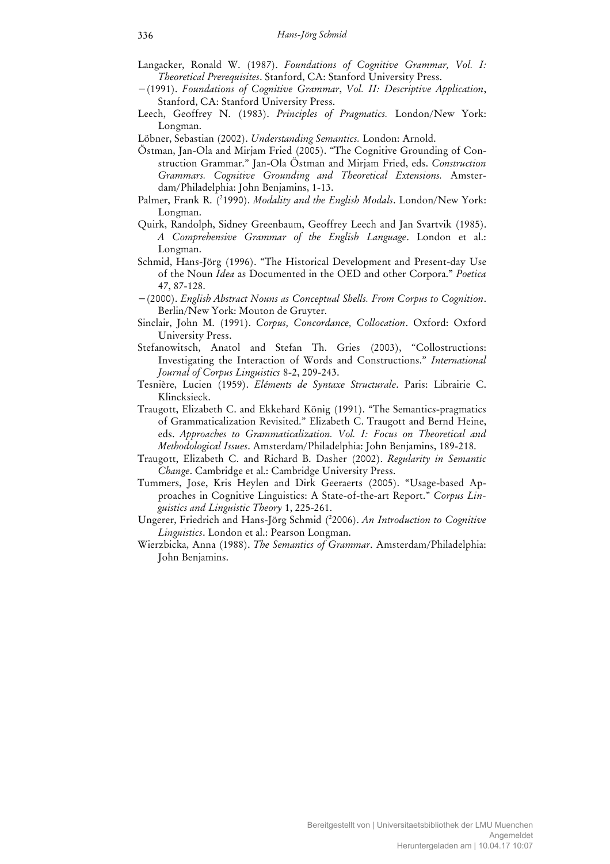- Langacker, Ronald W. (1987). Foundations of Cognitive Grammar, Vol. I: Theoretical Prerequisites. Stanford, CA: Stanford University Press.
- −(1991). Foundations of Cognitive Grammar, Vol. II: Descriptive Application, Stanford, CA: Stanford University Press.
- Leech, Geoffrey N. (1983). Principles of Pragmatics. London/New York: Longman.
- Löbner, Sebastian (2002). Understanding Semantics. London: Arnold.
- Östman, Jan-Ola and Mirjam Fried (2005). "The Cognitive Grounding of Construction Grammar." Jan-Ola Östman and Mirjam Fried, eds. Construction Grammars. Cognitive Grounding and Theoretical Extensions. Amsterdam/Philadelphia: John Benjamins, 1-13.
- Palmer, Frank R. (<sup>2</sup>1990). Modality and the English Modals. London/New York: Longman.
- Quirk, Randolph, Sidney Greenbaum, Geoffrey Leech and Jan Svartvik (1985). A Comprehensive Grammar of the English Language. London et al.: Longman.
- Schmid, Hans-Jörg (1996). "The Historical Development and Present-day Use of the Noun Idea as Documented in the OED and other Corpora." Poetica 47, 87-128.
- −(2000). English Abstract Nouns as Conceptual Shells. From Corpus to Cognition. Berlin/New York: Mouton de Gruyter.
- Sinclair, John M. (1991). Corpus, Concordance, Collocation. Oxford: Oxford University Press.
- Stefanowitsch, Anatol and Stefan Th. Gries (2003), "Collostructions: Investigating the Interaction of Words and Constructions." International Journal of Corpus Linguistics 8-2, 209-243.
- Tesnière, Lucien (1959). Eléments de Syntaxe Structurale. Paris: Librairie C. Klincksieck.
- Traugott, Elizabeth C. and Ekkehard König (1991). "The Semantics-pragmatics of Grammaticalization Revisited." Elizabeth C. Traugott and Bernd Heine, eds. Approaches to Grammaticalization. Vol. I: Focus on Theoretical and Methodological Issues. Amsterdam/Philadelphia: John Benjamins, 189-218.
- Traugott, Elizabeth C. and Richard B. Dasher (2002). Regularity in Semantic Change. Cambridge et al.: Cambridge University Press.
- Tummers, Jose, Kris Heylen and Dirk Geeraerts (2005). "Usage-based Approaches in Cognitive Linguistics: A State-of-the-art Report." Corpus Linguistics and Linguistic Theory 1, 225-261.
- Ungerer, Friedrich and Hans-Jörg Schmid (<sup>2</sup>2006). An Introduction to Cognitive Linguistics. London et al.: Pearson Longman.
- Wierzbicka, Anna (1988). The Semantics of Grammar. Amsterdam/Philadelphia: John Benjamins.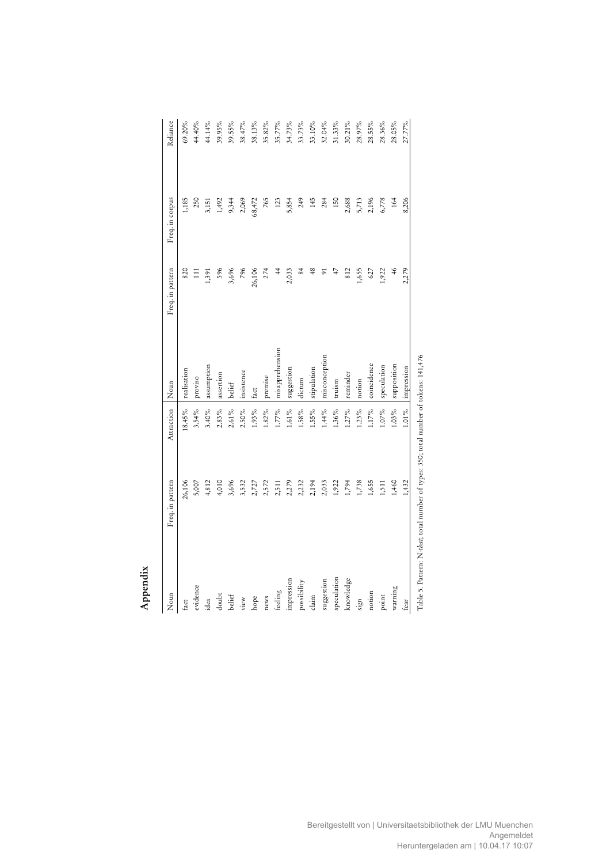| Noun                                                                                  | Freq. in pattern | Attraction | Noun            | Freq. in pattern | Freq. in corpus | Reliance |
|---------------------------------------------------------------------------------------|------------------|------------|-----------------|------------------|-----------------|----------|
| fact                                                                                  | 26,106           | 18.45%     | realisation     | 820              | 1,185           | 69.20%   |
| evidence                                                                              | 5,007            | 3.54%      | proviso         | $\Xi$            | 250             | 44.40%   |
| idea                                                                                  | 4,812            | 3.40%      | assumption      | 1,391            | 3,151           | 44.14%   |
| doubt                                                                                 | 4,010            | 2.83%      | assertion       | 596              | 1,492           | 39.95%   |
| belief                                                                                | 3,696            | 2.61%      | belief          | 3,696            | 9,344           | 39.55%   |
| view                                                                                  | 3,532            | $2.50\%$   | insistence      | 796              | 2,069           | 38.47%   |
| hope                                                                                  | 2,727            | 1.93%      | fact            | 26,106           | 68,472          | 38.13%   |
| news                                                                                  | 2,572            | 1.82%      | premise         | 274              | 765             | 35.82%   |
| feeling                                                                               | 2,511            | 1.77%      | misapprehension | $^{44}$          | 123             | 35.77%   |
| impression                                                                            | 2,279            | 1.61%      | suggestion      | 2,033            | 5,854           | 34.73%   |
| possibility                                                                           | 2,232            | 1.58%      | dictum          | 84               | 249             | 33.73%   |
| claim                                                                                 | 2,194            | $1.55\%$   | stipulation     | 48               | 145             | 33.10%   |
| suggestion                                                                            | 2,033            | 1.44%      | misconception   | 51               | 284             | 32.04%   |
| speculation                                                                           | 1,922            | 1.36%      | truism          |                  | 150             | 31.33%   |
| knowledge                                                                             | 1,794            | 1.27%      | reminder        | 812              | 2,688           | 30.21%   |
| sign                                                                                  | 1,738            | 1.23%      | notion          | 1,655            | 5,713           | 28.97%   |
| notion                                                                                | 1,655            | 1.17%      | coincidence     | 627              | 2,196           | 28.55%   |
| point                                                                                 | 1,511            | 1.07%      | speculation     | 1,922            | 6,778           | 28.36%   |
| warning                                                                               | 1,460            | 1.03%      | supposition     | 46               | 164             | 28.05%   |
| fear                                                                                  | 1,432            | 1.01%      | impression      | 2,279            | 8,206           | 27.77%   |
| Table 5. Pattern: N-that; total number of types: 350; total number of tokens: 141,476 |                  |            |                 |                  |                 |          |

Appendix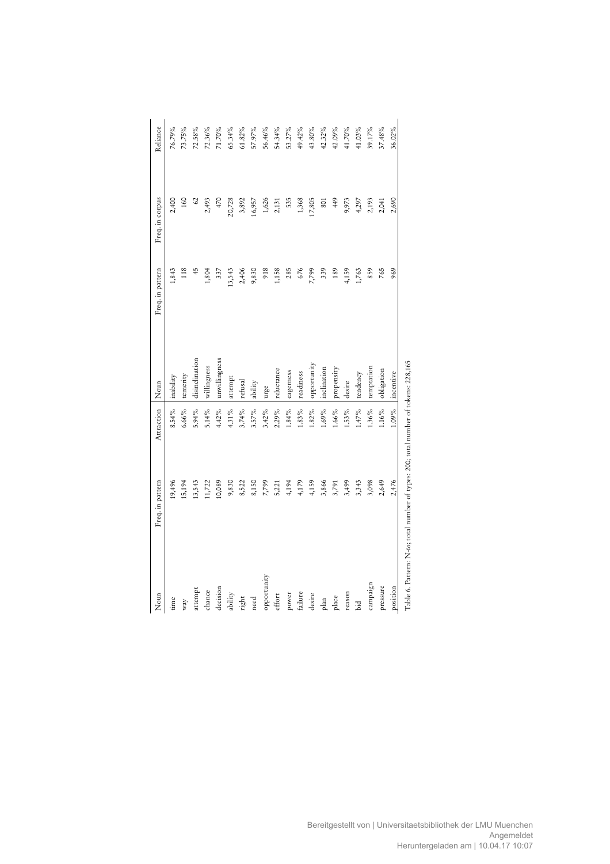| Noun            | Freq. in pattern                                                                    | Attraction | Noun           | Freq. in pattern | Freq. in corpus | Reliance  |
|-----------------|-------------------------------------------------------------------------------------|------------|----------------|------------------|-----------------|-----------|
| time            | 19,496                                                                              | 8.54%      | inability      | 1,843            | 2,400           | 76.79%    |
| way             | 15,194                                                                              | 6.66%      | temerity       | 118              | 160             | 73.75%    |
| attempt         | 13,543                                                                              | 5.94%      | disinclination | 45               | 2               | 72.58%    |
| chance          | 1,722                                                                               | 5.14%      | willingness    | 1,804            | 2,493           | 72.36%    |
| decision        | 10,089                                                                              | 4.42%      | unwillingness  | 337              | 470             | 71.70%    |
| ability         | 9,830                                                                               | 4.31%      | attempt        | 13,543           | 20,728          | $65.34\%$ |
| right           | 8,522                                                                               | 3.74%      | refusal        | 2,406            | 3,892           | 61.82%    |
| need            | 8,150                                                                               | 3.57%      | ability        | 9,830            | 16,957          | 57.97%    |
| opportunity     | 7,799                                                                               | 3.42%      | urge           | 918              | 1,626           | 56.46%    |
| $_{\rm effort}$ | 5,221                                                                               | 2.29%      | reluctance     | 1,158            | 2,131           | 54.34%    |
| oower           | 4,194                                                                               | 1.84%      | eagerness      | 285              | 535             | $53.27\%$ |
| failure         | 4,179                                                                               | 1.83%      | readiness      | 676              | 1,368           | 49.42%    |
| desire          | 4,159                                                                               | 1.82%      | opportunity    | 7,799            | 17,805          | 43.80%    |
| plan            | 3,866                                                                               | 1.69%      | inclination    | 339              | S <sub>01</sub> | 42.32%    |
| place           | 3,791                                                                               | 1.66%      | propensity     | 189              | 449             | 42.09%    |
| reason          | 3,499                                                                               | 1.53%      | desire         | 4,159            | 9,973           | 41.70%    |
| <b>bid</b>      | 3,343                                                                               | 1.47%      | tendency       | 1,763            | 4,297           | 41.03%    |
| campaign        | 3,098                                                                               | 1.36%      | temptation     | 859              | 2,193           | 39.17%    |
| pressure        | 2,649                                                                               | 1.16%      | obligation     | 765              | 2,041           | 37.48%    |
| position        | 2,476                                                                               | 1.09%      | incentive      | 969              | 2,690           | 36.02%    |
|                 | Table 6. Pattern: N-to; total number of types: 200; total number of tokens: 228,165 |            |                |                  |                 |           |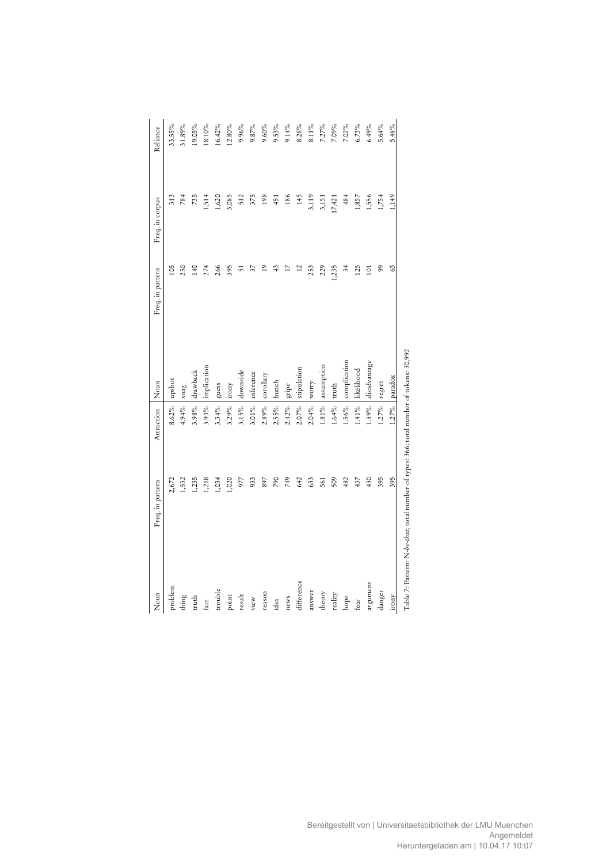| Noun         | Freq. in pattern                                                                        | Attraction | Noun         | Freq. in pattern | Freq. in corpus | Reliance |
|--------------|-----------------------------------------------------------------------------------------|------------|--------------|------------------|-----------------|----------|
| problem      | 2,672                                                                                   | 8.62%      | upshot       | SOI              | 313             | 33.55%   |
| thing        | , 532                                                                                   | 4.94%      | snag         | 250              | 784             | 31.89%   |
| truth        | 1,235                                                                                   | 3.98%      | drawback     | $\frac{40}{5}$   | 735             | 19.05%   |
| fact         | ,218                                                                                    | 3.93%      | implication  | 274              | 1,514           | 18.10%   |
| trouble      | ,034                                                                                    | 3.34%      | guess        | 266              | ,620            | 16.42%   |
| point        | ,020                                                                                    | 3.29%      | <i>irony</i> | 395              | 3,085           | 12.80%   |
| result       | 977                                                                                     | 3.15%      | downside     | 5                | 512             | 9.96%    |
| view         | 933                                                                                     | 3.01%      | inference    |                  | 375             | 9.87%    |
| reason       | 897                                                                                     | 2.89%      | corollary    | $\overline{9}$   | 198             | 9.60%    |
| idea         | <b>D64</b>                                                                              | 2.55%      | hunch        | ₽                | 451             | 9.53%    |
| news         | 749                                                                                     | $2.42\%$   | gripe        |                  | 186             | 9.14%    |
| $difference$ | 642                                                                                     | 2.07%      | stipulation  | $\mathbf{z}$     | 145             | 8.28%    |
| answer       | 633                                                                                     | 2.04%      | worry        | 253              | 3,119           | 8.11%    |
| theory       | 561                                                                                     | $1.81\%$   | assumption   | 229              | 3,151           | 7.27%    |
| reality      | 509                                                                                     | 1.64%      | truth        | 1,235            | 17,421          | 7.09%    |
| hope         | 482                                                                                     | 1.56%      | complication | 34               | 484             | 7.02%    |
| fear         | 437                                                                                     | 1.41%      | likelihood   | <b>25</b>        | 1,857           | 6.73%    |
| argument     | 430                                                                                     | 1.39%      | disadvantage | $\overline{a}$   | 1,556           | 6.49%    |
| danger       | 395                                                                                     | 1.27%      | regret       | 99               | 1,754           | 5.64%    |
| irony        | 395                                                                                     | 1.27%      | paradox      | S                | 1,149           | 5.48%    |
|              | Table 7: Pattern: N-be-that; total number of types: 366; total number of tokens: 30,992 |            |              |                  |                 |          |